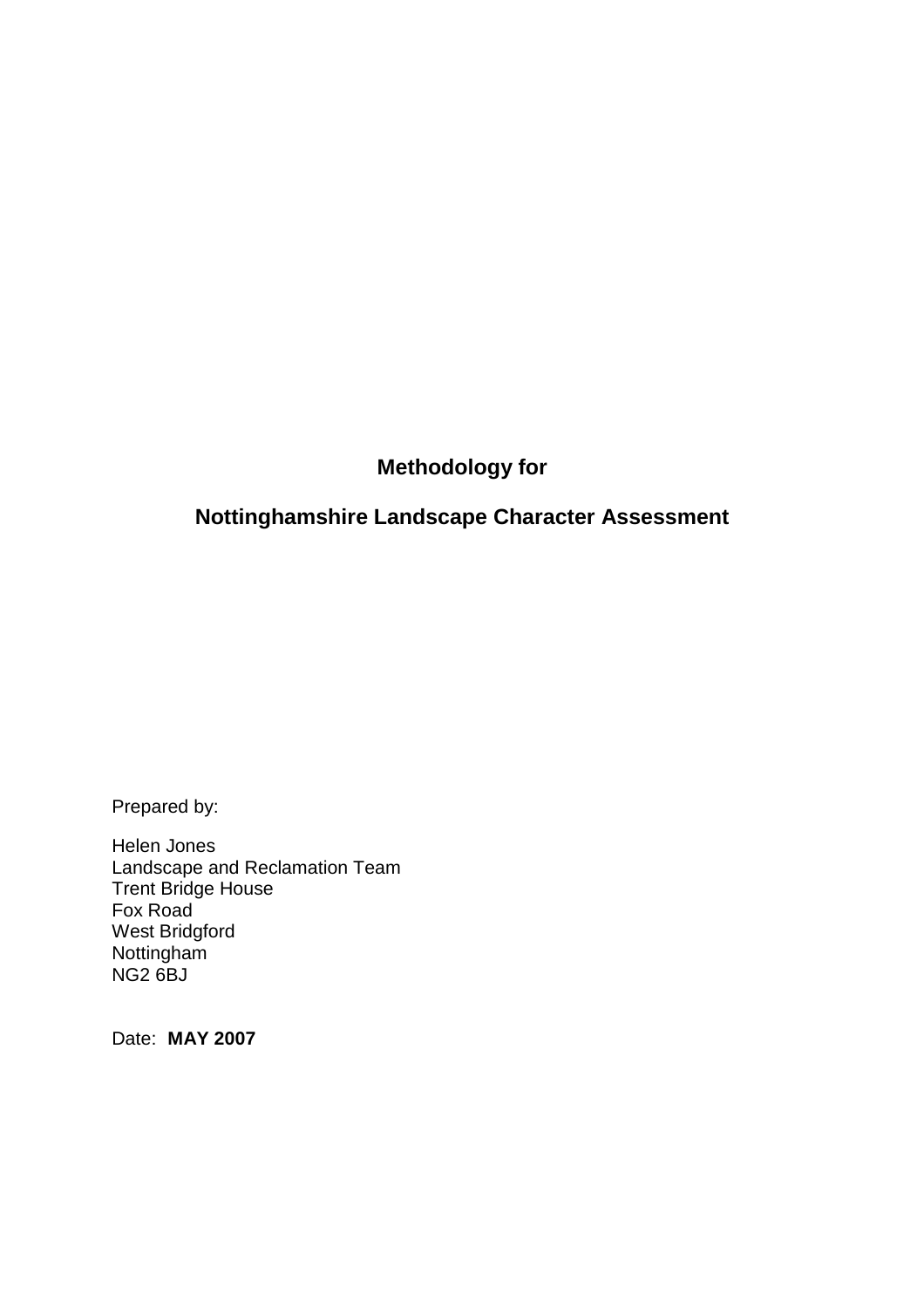# **Methodology for**

# **Nottinghamshire Landscape Character Assessment**

Prepared by:

Helen Jones Landscape and Reclamation Team Trent Bridge House Fox Road West Bridgford Nottingham NG2 6BJ

Date: **MAY 2007**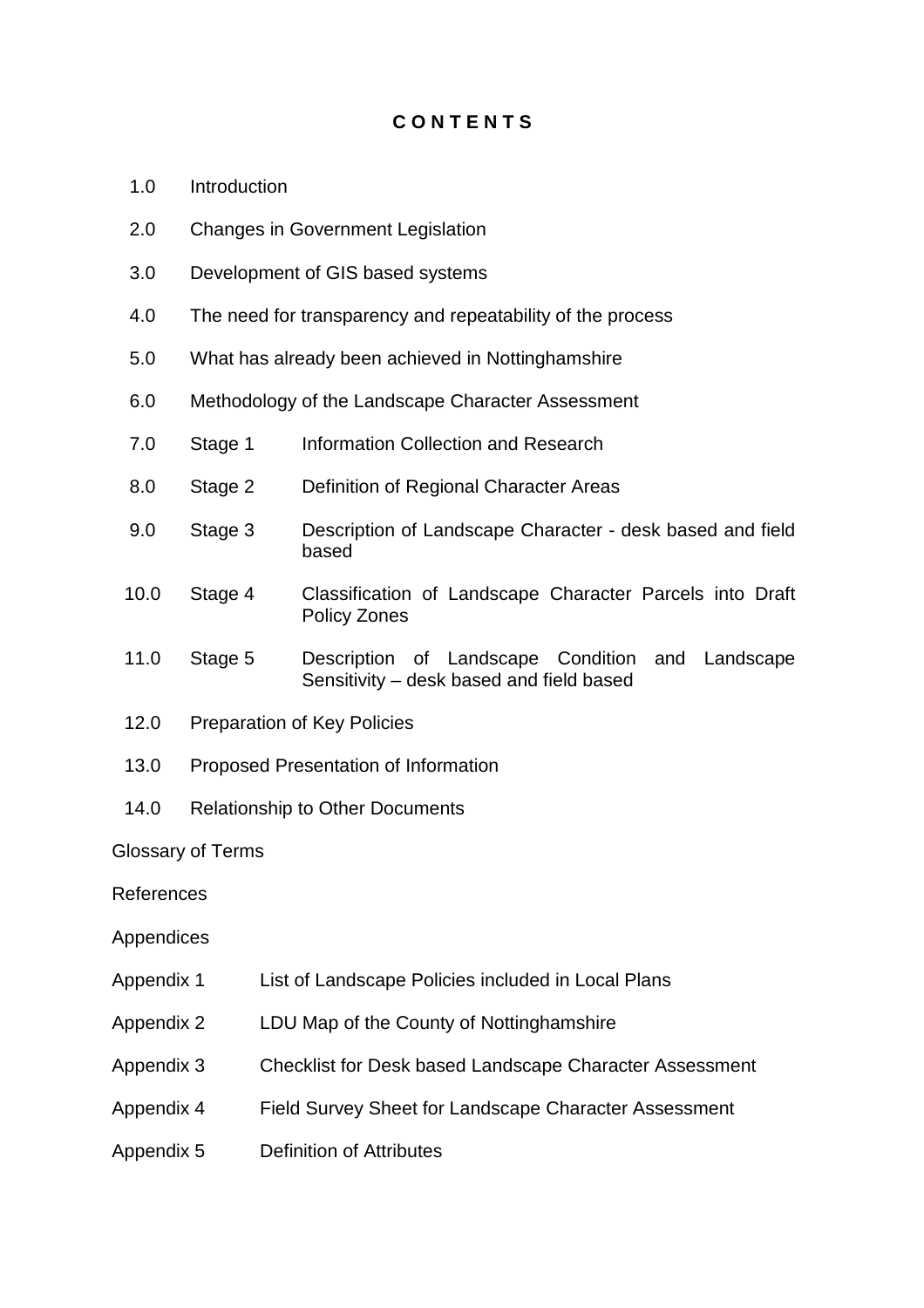### **C O N T E N T S**

- 1.0 Introduction
- 2.0 Changes in Government Legislation
- 3.0 Development of GIS based systems
- 4.0 The need for transparency and repeatability of the process
- 5.0 What has already been achieved in Nottinghamshire
- 6.0 Methodology of the Landscape Character Assessment
- 7.0 Stage 1 Information Collection and Research
- 8.0 Stage 2 Definition of Regional Character Areas
- 9.0 Stage 3 Description of Landscape Character desk based and field based
- 10.0 Stage 4 Classification of Landscape Character Parcels into Draft Policy Zones
- 11.0 Stage 5 Description of Landscape Condition and Landscape Sensitivity – desk based and field based
- 12.0 Preparation of Key Policies
- 13.0 Proposed Presentation of Information
- 14.0 Relationship to Other Documents

#### Glossary of Terms

#### References

#### Appendices

- Appendix 1 List of Landscape Policies included in Local Plans
- Appendix 2 LDU Map of the County of Nottinghamshire
- Appendix 3 Checklist for Desk based Landscape Character Assessment
- Appendix 4 Field Survey Sheet for Landscape Character Assessment
- Appendix 5 Definition of Attributes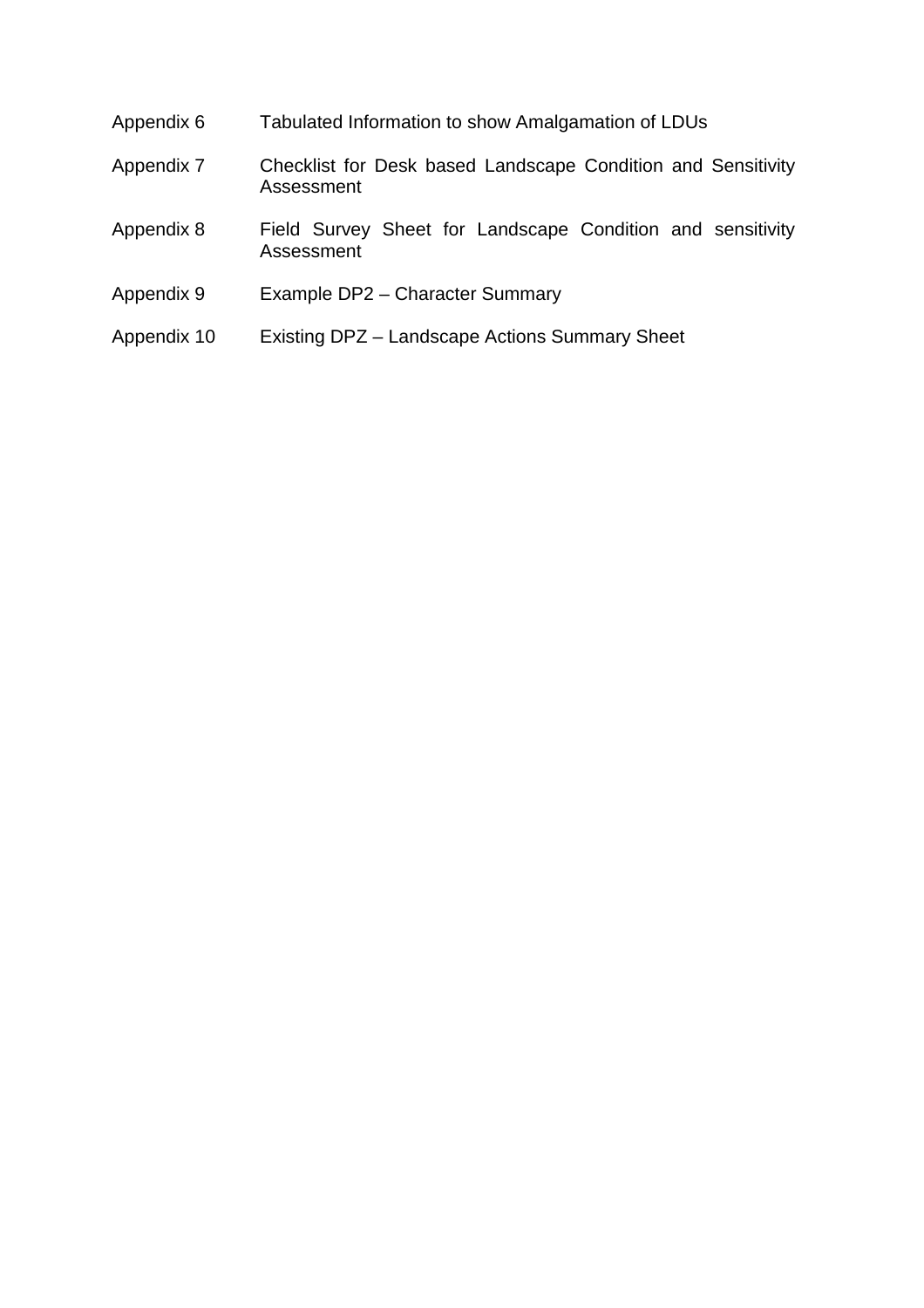| Appendix 6  | Tabulated Information to show Amalgamation of LDUs                         |
|-------------|----------------------------------------------------------------------------|
| Appendix 7  | Checklist for Desk based Landscape Condition and Sensitivity<br>Assessment |
| Appendix 8  | Field Survey Sheet for Landscape Condition and sensitivity<br>Assessment   |
| Appendix 9  | Example DP2 - Character Summary                                            |
| Appendix 10 | Existing DPZ – Landscape Actions Summary Sheet                             |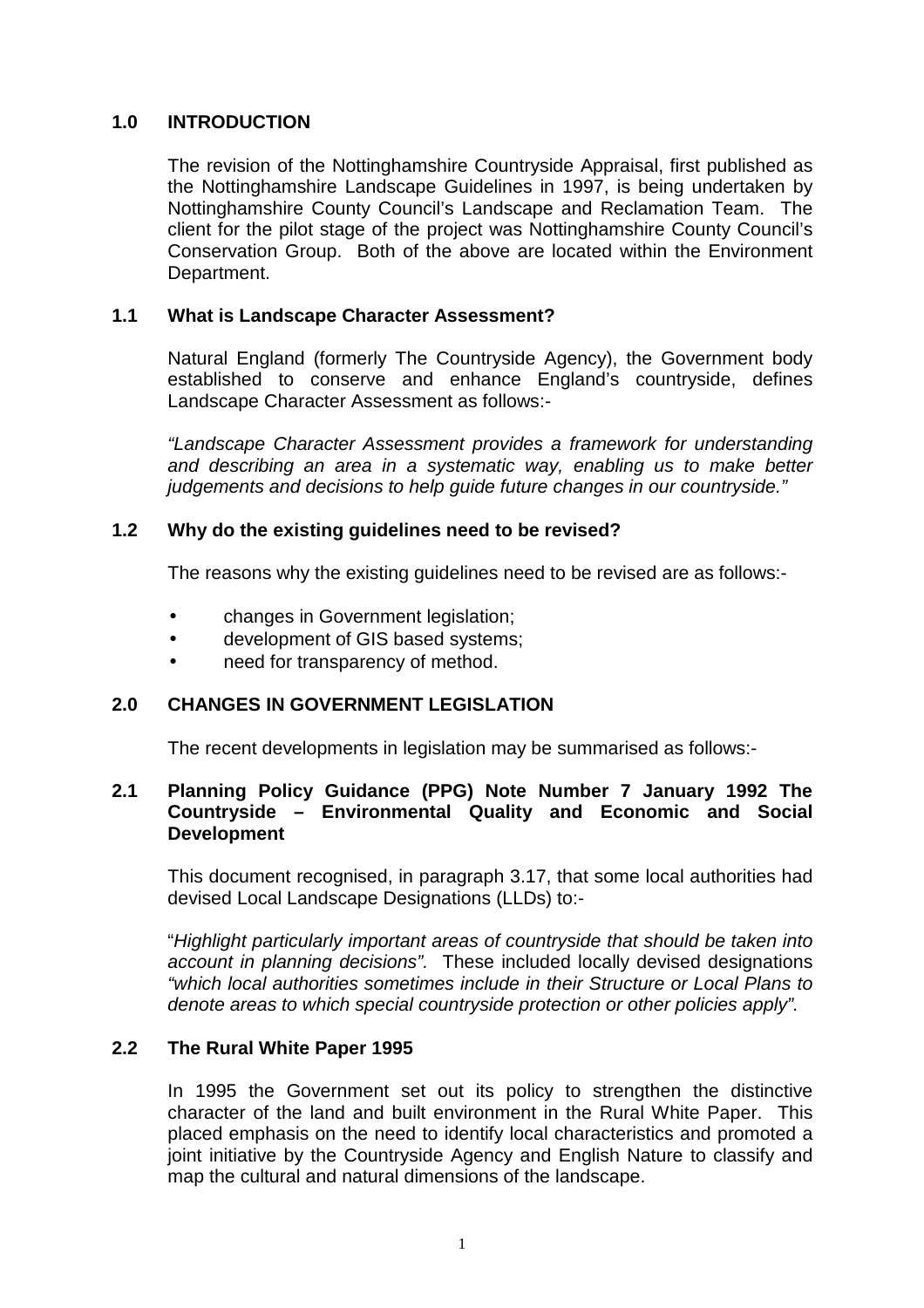### **1.0 INTRODUCTION**

 The revision of the Nottinghamshire Countryside Appraisal, first published as the Nottinghamshire Landscape Guidelines in 1997, is being undertaken by Nottinghamshire County Council's Landscape and Reclamation Team. The client for the pilot stage of the project was Nottinghamshire County Council's Conservation Group. Both of the above are located within the Environment Department.

#### **1.1 What is Landscape Character Assessment?**

 Natural England (formerly The Countryside Agency), the Government body established to conserve and enhance England's countryside, defines Landscape Character Assessment as follows:-

 "Landscape Character Assessment provides a framework for understanding and describing an area in a systematic way, enabling us to make better judgements and decisions to help quide future changes in our countryside."

#### **1.2 Why do the existing guidelines need to be revised?**

The reasons why the existing guidelines need to be revised are as follows:-

- changes in Government legislation;
- development of GIS based systems;
- need for transparency of method.

#### **2.0 CHANGES IN GOVERNMENT LEGISLATION**

The recent developments in legislation may be summarised as follows:-

#### **2.1 Planning Policy Guidance (PPG) Note Number 7 January 1992 The Countryside – Environmental Quality and Economic and Social Development**

 This document recognised, in paragraph 3.17, that some local authorities had devised Local Landscape Designations (LLDs) to:-

 "Highlight particularly important areas of countryside that should be taken into account in planning decisions". These included locally devised designations "which local authorities sometimes include in their Structure or Local Plans to denote areas to which special countryside protection or other policies apply".

#### **2.2 The Rural White Paper 1995**

 In 1995 the Government set out its policy to strengthen the distinctive character of the land and built environment in the Rural White Paper. This placed emphasis on the need to identify local characteristics and promoted a joint initiative by the Countryside Agency and English Nature to classify and map the cultural and natural dimensions of the landscape.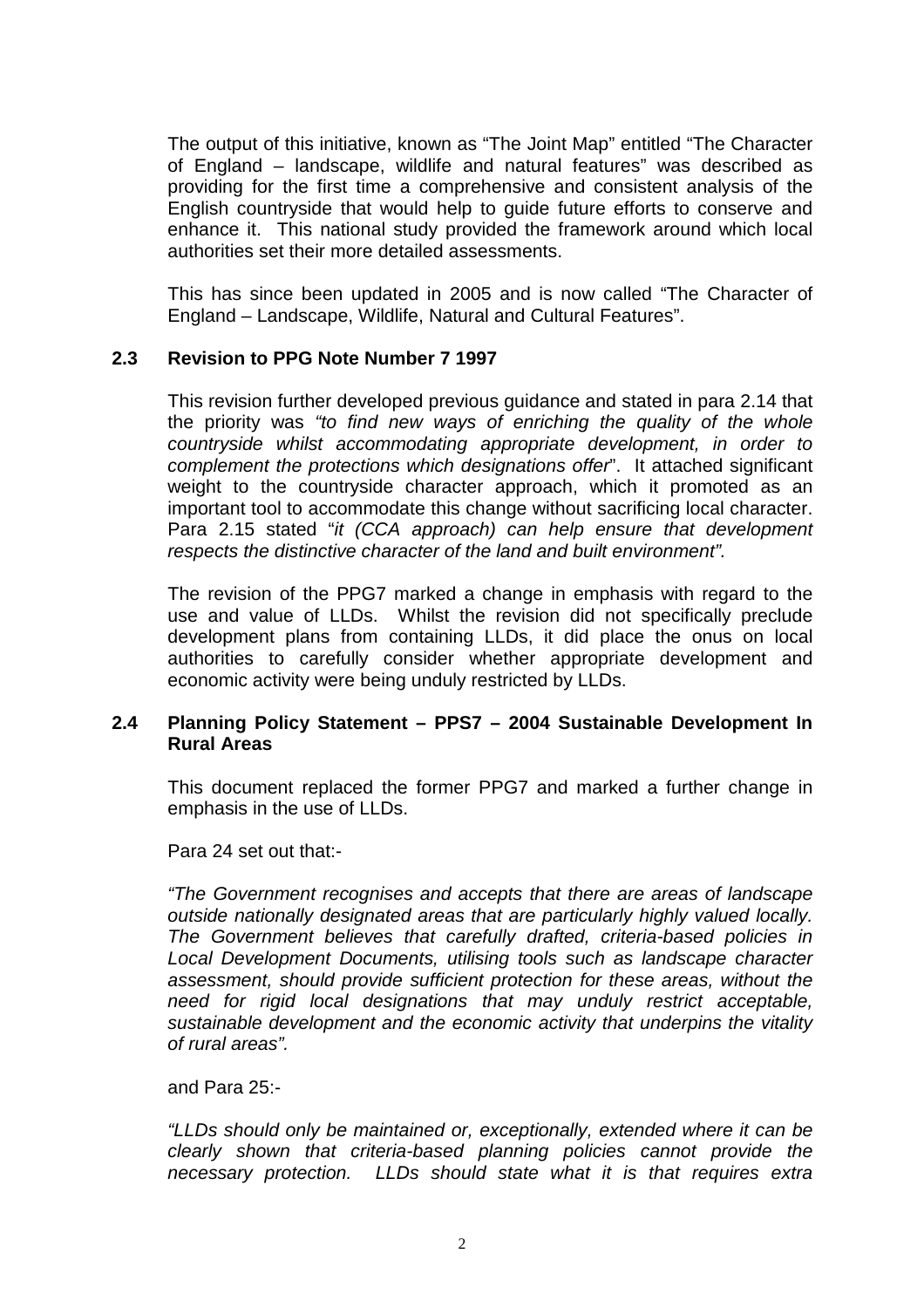The output of this initiative, known as "The Joint Map" entitled "The Character of England – landscape, wildlife and natural features" was described as providing for the first time a comprehensive and consistent analysis of the English countryside that would help to guide future efforts to conserve and enhance it. This national study provided the framework around which local authorities set their more detailed assessments.

 This has since been updated in 2005 and is now called "The Character of England – Landscape, Wildlife, Natural and Cultural Features".

#### **2.3 Revision to PPG Note Number 7 1997**

 This revision further developed previous guidance and stated in para 2.14 that the priority was "to find new ways of enriching the quality of the whole countryside whilst accommodating appropriate development, in order to complement the protections which designations offer". It attached significant weight to the countryside character approach, which it promoted as an important tool to accommodate this change without sacrificing local character. Para 2.15 stated "it (CCA approach) can help ensure that development respects the distinctive character of the land and built environment".

 The revision of the PPG7 marked a change in emphasis with regard to the use and value of LLDs. Whilst the revision did not specifically preclude development plans from containing LLDs, it did place the onus on local authorities to carefully consider whether appropriate development and economic activity were being unduly restricted by LLDs.

#### **2.4 Planning Policy Statement – PPS7 – 2004 Sustainable Development In Rural Areas**

 This document replaced the former PPG7 and marked a further change in emphasis in the use of LLDs.

Para 24 set out that:-

 "The Government recognises and accepts that there are areas of landscape outside nationally designated areas that are particularly highly valued locally. The Government believes that carefully drafted, criteria-based policies in Local Development Documents, utilising tools such as landscape character assessment, should provide sufficient protection for these areas, without the need for rigid local designations that may unduly restrict acceptable, sustainable development and the economic activity that underpins the vitality of rural areas".

#### and Para 25:-

 "LLDs should only be maintained or, exceptionally, extended where it can be clearly shown that criteria-based planning policies cannot provide the necessary protection. LLDs should state what it is that requires extra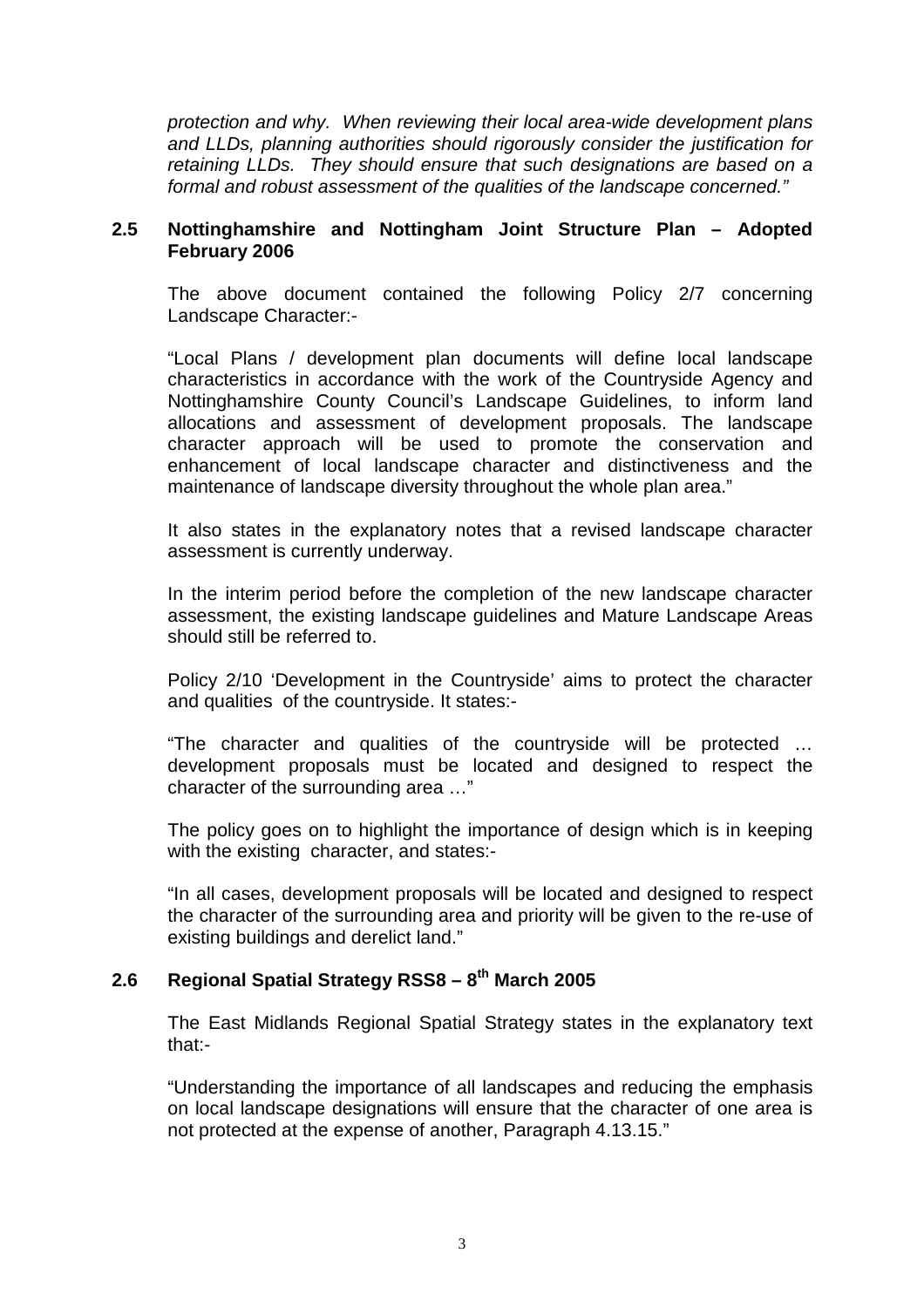protection and why. When reviewing their local area-wide development plans and LLDs, planning authorities should rigorously consider the justification for retaining LLDs. They should ensure that such designations are based on a formal and robust assessment of the qualities of the landscape concerned."

#### **2.5 Nottinghamshire and Nottingham Joint Structure Plan – Adopted February 2006**

 The above document contained the following Policy 2/7 concerning Landscape Character:-

 "Local Plans / development plan documents will define local landscape characteristics in accordance with the work of the Countryside Agency and Nottinghamshire County Council's Landscape Guidelines, to inform land allocations and assessment of development proposals. The landscape character approach will be used to promote the conservation and enhancement of local landscape character and distinctiveness and the maintenance of landscape diversity throughout the whole plan area."

 It also states in the explanatory notes that a revised landscape character assessment is currently underway.

 In the interim period before the completion of the new landscape character assessment, the existing landscape guidelines and Mature Landscape Areas should still be referred to.

 Policy 2/10 'Development in the Countryside' aims to protect the character and qualities of the countryside. It states:-

 "The character and qualities of the countryside will be protected … development proposals must be located and designed to respect the character of the surrounding area …"

 The policy goes on to highlight the importance of design which is in keeping with the existing character, and states:-

 "In all cases, development proposals will be located and designed to respect the character of the surrounding area and priority will be given to the re-use of existing buildings and derelict land."

### **2.6 Regional Spatial Strategy RSS8 – 8th March 2005**

 The East Midlands Regional Spatial Strategy states in the explanatory text that:-

 "Understanding the importance of all landscapes and reducing the emphasis on local landscape designations will ensure that the character of one area is not protected at the expense of another, Paragraph 4.13.15."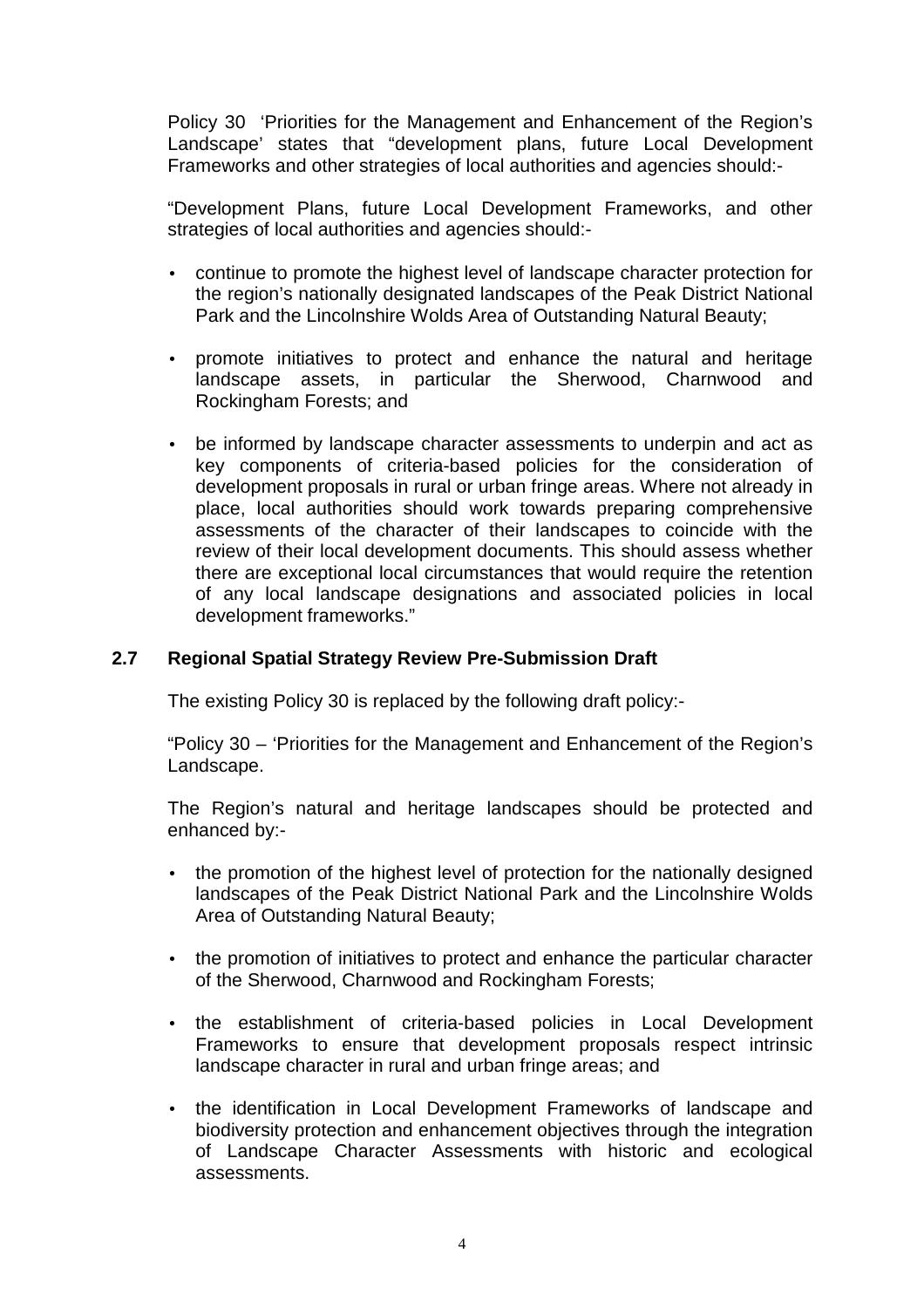Policy 30 'Priorities for the Management and Enhancement of the Region's Landscape' states that "development plans, future Local Development Frameworks and other strategies of local authorities and agencies should:-

 "Development Plans, future Local Development Frameworks, and other strategies of local authorities and agencies should:-

- continue to promote the highest level of landscape character protection for the region's nationally designated landscapes of the Peak District National Park and the Lincolnshire Wolds Area of Outstanding Natural Beauty;
- promote initiatives to protect and enhance the natural and heritage landscape assets, in particular the Sherwood, Charnwood and Rockingham Forests; and
- be informed by landscape character assessments to underpin and act as key components of criteria-based policies for the consideration of development proposals in rural or urban fringe areas. Where not already in place, local authorities should work towards preparing comprehensive assessments of the character of their landscapes to coincide with the review of their local development documents. This should assess whether there are exceptional local circumstances that would require the retention of any local landscape designations and associated policies in local development frameworks."

### **2.7 Regional Spatial Strategy Review Pre-Submission Draft**

The existing Policy 30 is replaced by the following draft policy:-

 "Policy 30 – 'Priorities for the Management and Enhancement of the Region's Landscape.

 The Region's natural and heritage landscapes should be protected and enhanced by:-

- the promotion of the highest level of protection for the nationally designed landscapes of the Peak District National Park and the Lincolnshire Wolds Area of Outstanding Natural Beauty;
- the promotion of initiatives to protect and enhance the particular character of the Sherwood, Charnwood and Rockingham Forests;
- the establishment of criteria-based policies in Local Development Frameworks to ensure that development proposals respect intrinsic landscape character in rural and urban fringe areas; and
- the identification in Local Development Frameworks of landscape and biodiversity protection and enhancement objectives through the integration of Landscape Character Assessments with historic and ecological assessments.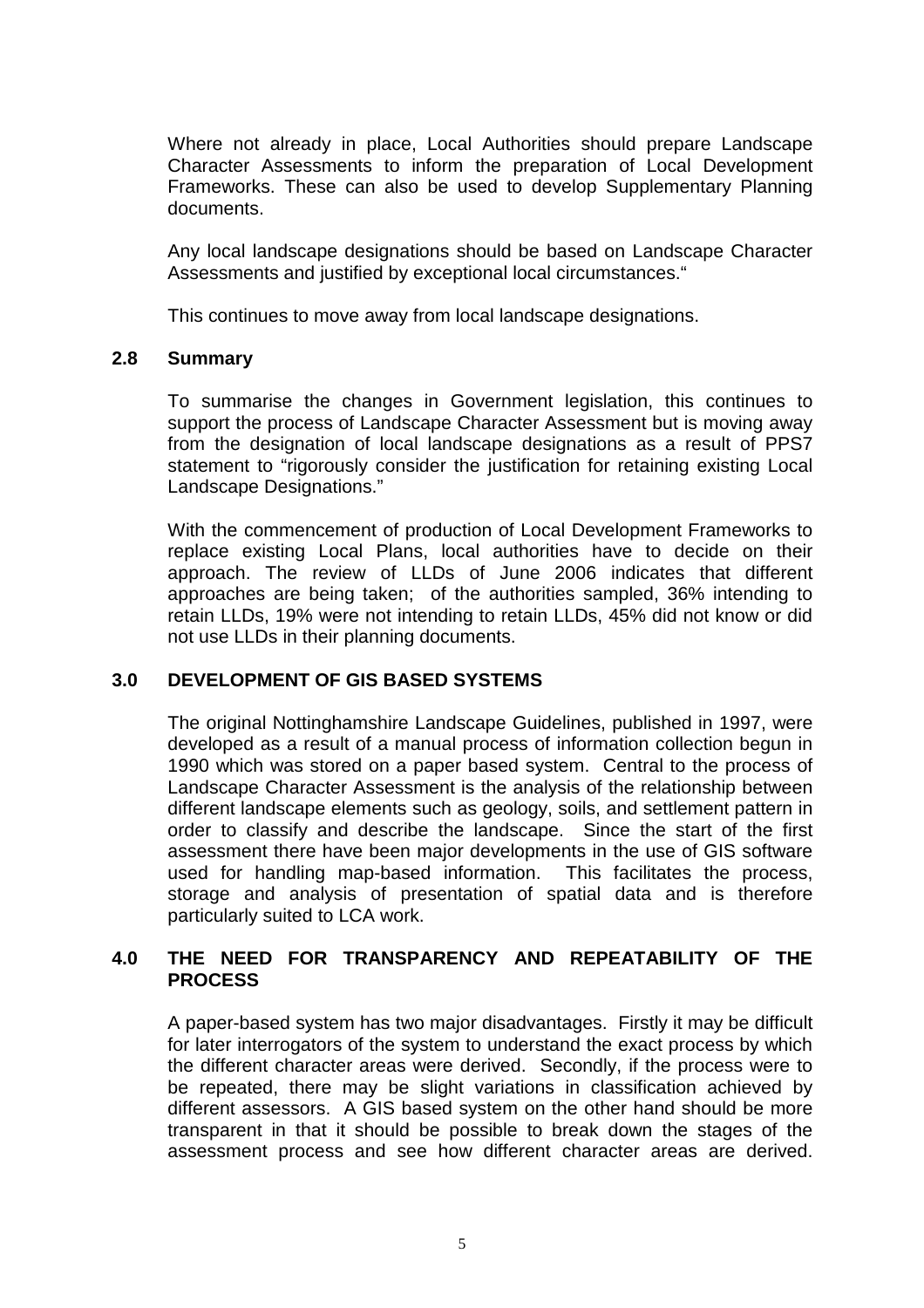Where not already in place, Local Authorities should prepare Landscape Character Assessments to inform the preparation of Local Development Frameworks. These can also be used to develop Supplementary Planning documents.

Any local landscape designations should be based on Landscape Character Assessments and justified by exceptional local circumstances."

This continues to move away from local landscape designations.

#### **2.8 Summary**

 To summarise the changes in Government legislation, this continues to support the process of Landscape Character Assessment but is moving away from the designation of local landscape designations as a result of PPS7 statement to "rigorously consider the justification for retaining existing Local Landscape Designations."

 With the commencement of production of Local Development Frameworks to replace existing Local Plans, local authorities have to decide on their approach. The review of LLDs of June 2006 indicates that different approaches are being taken; of the authorities sampled, 36% intending to retain LLDs, 19% were not intending to retain LLDs, 45% did not know or did not use LLDs in their planning documents.

#### **3.0 DEVELOPMENT OF GIS BASED SYSTEMS**

 The original Nottinghamshire Landscape Guidelines, published in 1997, were developed as a result of a manual process of information collection begun in 1990 which was stored on a paper based system. Central to the process of Landscape Character Assessment is the analysis of the relationship between different landscape elements such as geology, soils, and settlement pattern in order to classify and describe the landscape. Since the start of the first assessment there have been major developments in the use of GIS software used for handling map-based information. This facilitates the process, storage and analysis of presentation of spatial data and is therefore particularly suited to LCA work.

#### **4.0 THE NEED FOR TRANSPARENCY AND REPEATABILITY OF THE PROCESS**

 A paper-based system has two major disadvantages. Firstly it may be difficult for later interrogators of the system to understand the exact process by which the different character areas were derived. Secondly, if the process were to be repeated, there may be slight variations in classification achieved by different assessors. A GIS based system on the other hand should be more transparent in that it should be possible to break down the stages of the assessment process and see how different character areas are derived.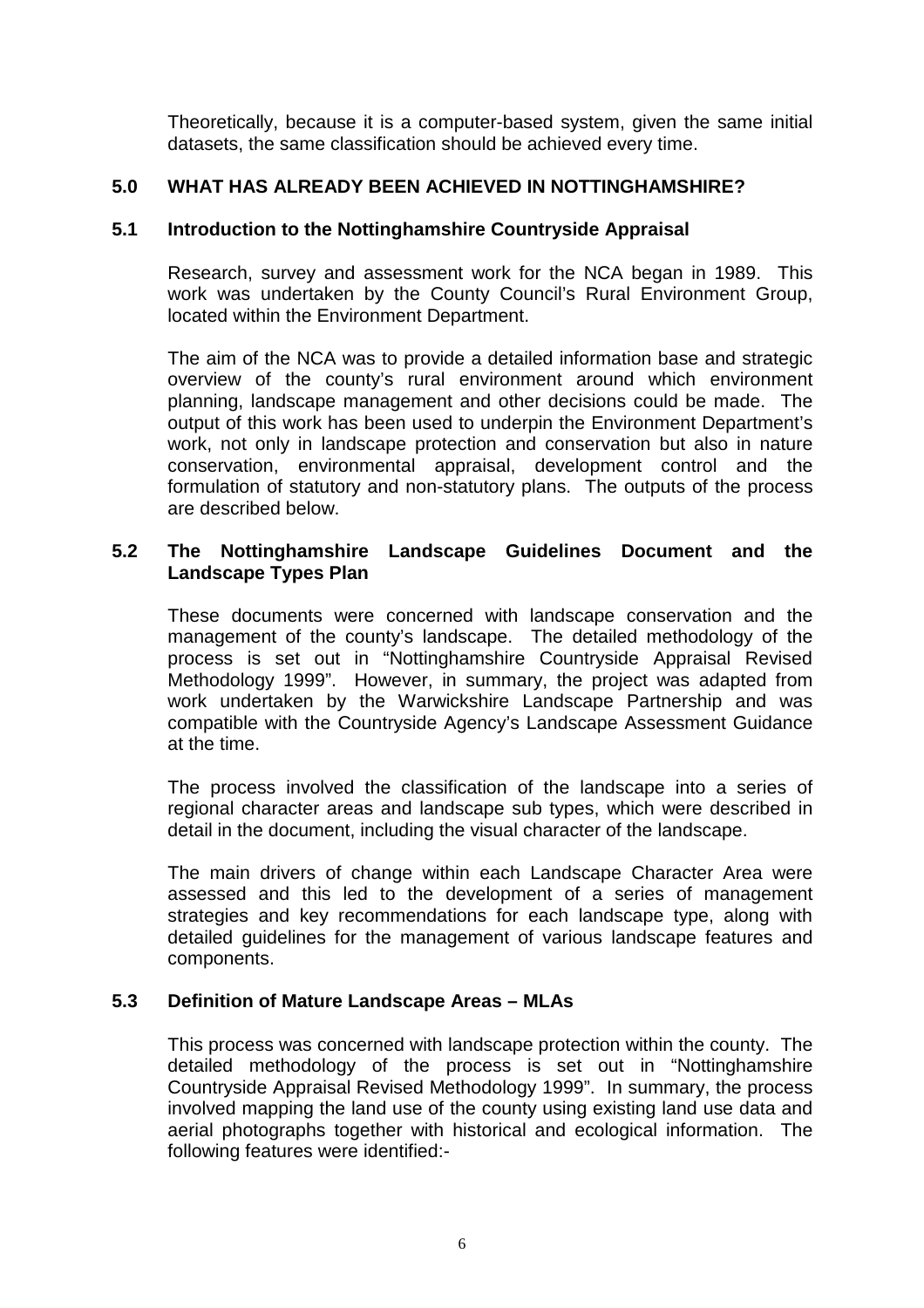Theoretically, because it is a computer-based system, given the same initial datasets, the same classification should be achieved every time.

### **5.0 WHAT HAS ALREADY BEEN ACHIEVED IN NOTTINGHAMSHIRE?**

#### **5.1 Introduction to the Nottinghamshire Countryside Appraisal**

 Research, survey and assessment work for the NCA began in 1989. This work was undertaken by the County Council's Rural Environment Group, located within the Environment Department.

 The aim of the NCA was to provide a detailed information base and strategic overview of the county's rural environment around which environment planning, landscape management and other decisions could be made. The output of this work has been used to underpin the Environment Department's work, not only in landscape protection and conservation but also in nature conservation, environmental appraisal, development control and the formulation of statutory and non-statutory plans. The outputs of the process are described below.

#### **5.2 The Nottinghamshire Landscape Guidelines Document and the Landscape Types Plan**

 These documents were concerned with landscape conservation and the management of the county's landscape. The detailed methodology of the process is set out in "Nottinghamshire Countryside Appraisal Revised Methodology 1999". However, in summary, the project was adapted from work undertaken by the Warwickshire Landscape Partnership and was compatible with the Countryside Agency's Landscape Assessment Guidance at the time.

 The process involved the classification of the landscape into a series of regional character areas and landscape sub types, which were described in detail in the document, including the visual character of the landscape.

 The main drivers of change within each Landscape Character Area were assessed and this led to the development of a series of management strategies and key recommendations for each landscape type, along with detailed guidelines for the management of various landscape features and components.

#### **5.3 Definition of Mature Landscape Areas – MLAs**

 This process was concerned with landscape protection within the county. The detailed methodology of the process is set out in "Nottinghamshire Countryside Appraisal Revised Methodology 1999". In summary, the process involved mapping the land use of the county using existing land use data and aerial photographs together with historical and ecological information. The following features were identified:-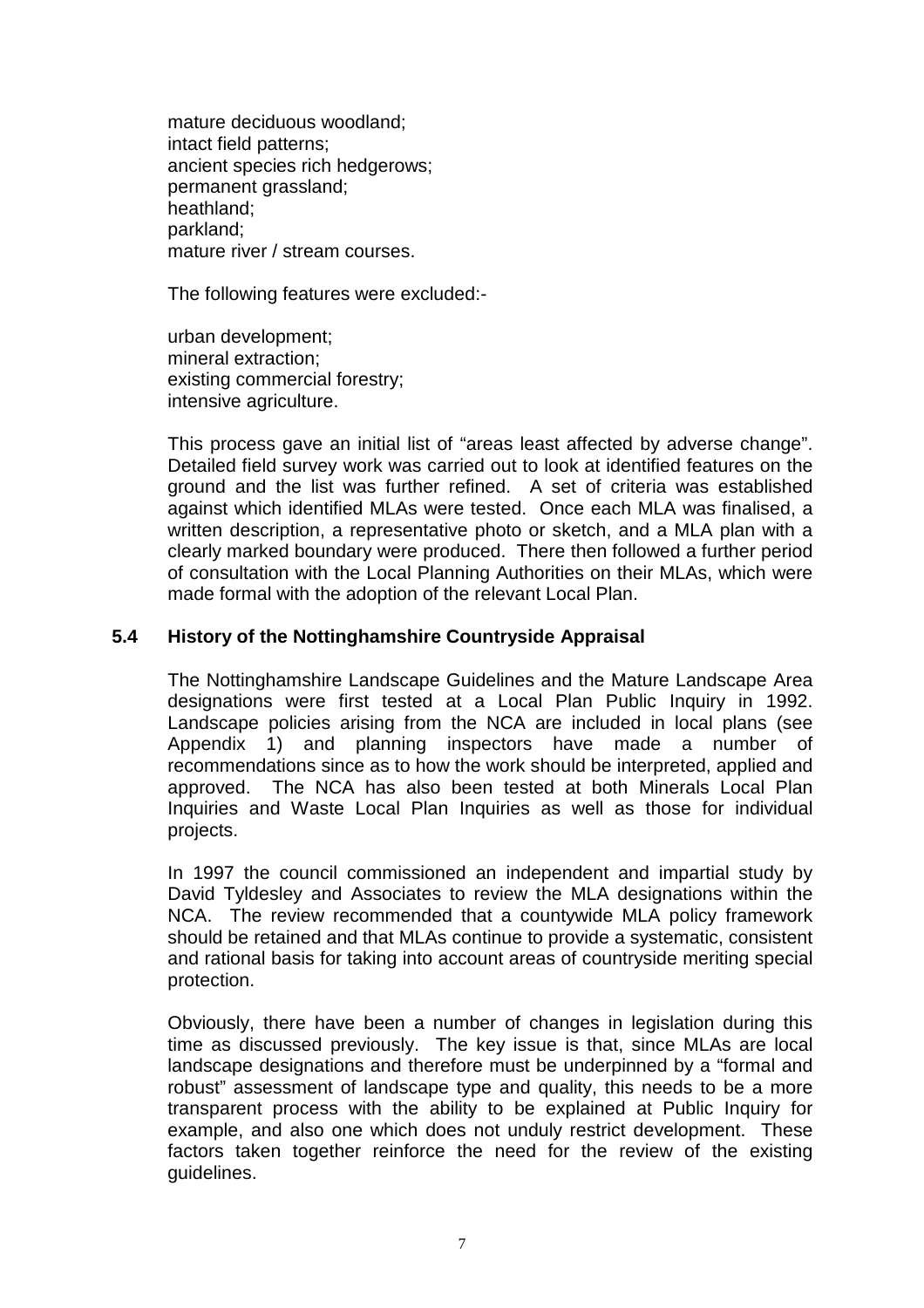mature deciduous woodland; intact field patterns; ancient species rich hedgerows; permanent grassland; heathland; parkland; mature river / stream courses.

The following features were excluded:-

urban development; mineral extraction; existing commercial forestry; intensive agriculture.

 This process gave an initial list of "areas least affected by adverse change". Detailed field survey work was carried out to look at identified features on the ground and the list was further refined. A set of criteria was established against which identified MLAs were tested. Once each MLA was finalised, a written description, a representative photo or sketch, and a MLA plan with a clearly marked boundary were produced. There then followed a further period of consultation with the Local Planning Authorities on their MLAs, which were made formal with the adoption of the relevant Local Plan.

### **5.4 History of the Nottinghamshire Countryside Appraisal**

The Nottinghamshire Landscape Guidelines and the Mature Landscape Area designations were first tested at a Local Plan Public Inquiry in 1992. Landscape policies arising from the NCA are included in local plans (see Appendix 1) and planning inspectors have made a number of recommendations since as to how the work should be interpreted, applied and approved. The NCA has also been tested at both Minerals Local Plan Inquiries and Waste Local Plan Inquiries as well as those for individual projects.

In 1997 the council commissioned an independent and impartial study by David Tyldesley and Associates to review the MLA designations within the NCA. The review recommended that a countywide MLA policy framework should be retained and that MLAs continue to provide a systematic, consistent and rational basis for taking into account areas of countryside meriting special protection.

Obviously, there have been a number of changes in legislation during this time as discussed previously. The key issue is that, since MLAs are local landscape designations and therefore must be underpinned by a "formal and robust" assessment of landscape type and quality, this needs to be a more transparent process with the ability to be explained at Public Inquiry for example, and also one which does not unduly restrict development. These factors taken together reinforce the need for the review of the existing guidelines.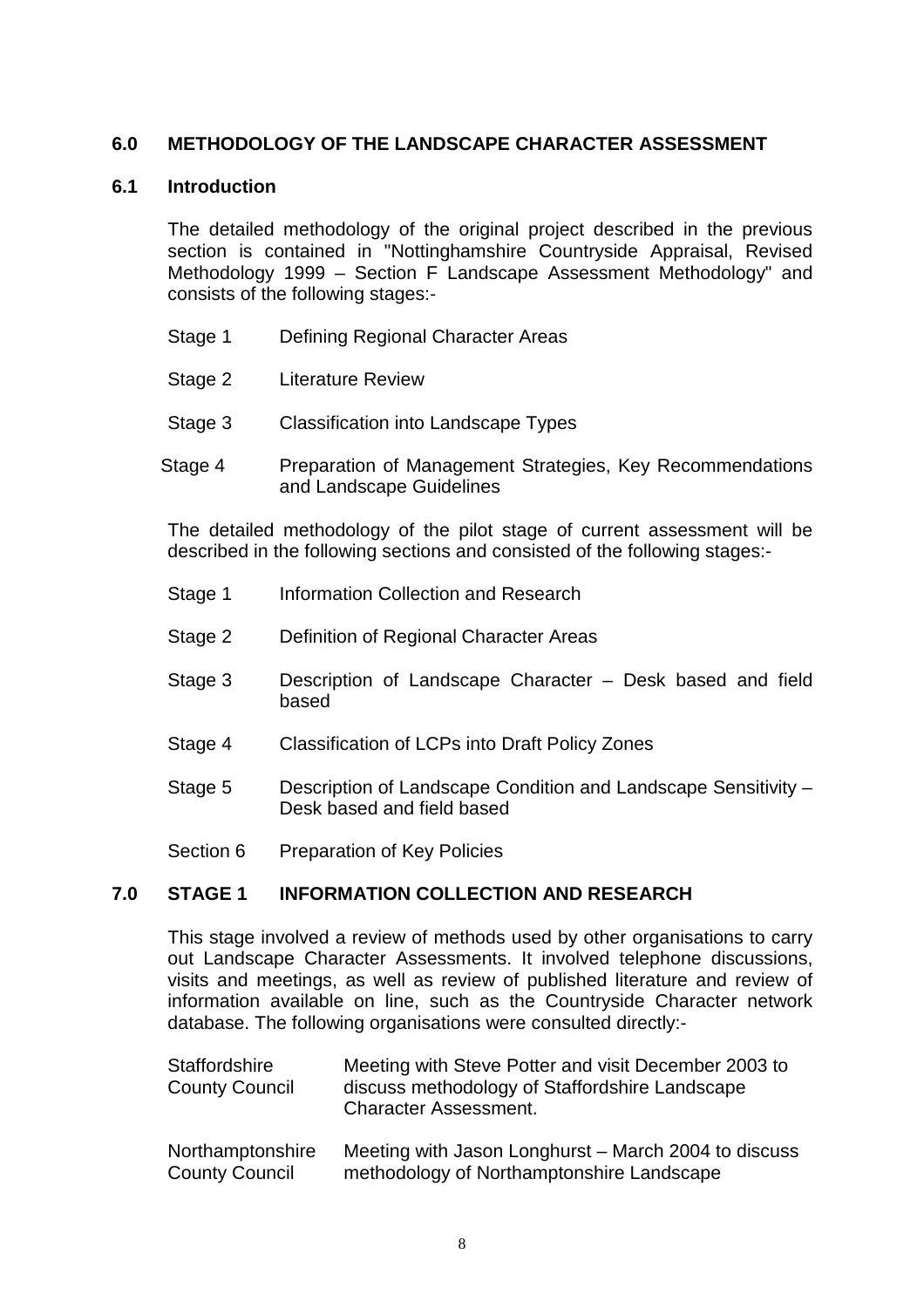### **6.0 METHODOLOGY OF THE LANDSCAPE CHARACTER ASSESSMENT**

#### **6.1 Introduction**

The detailed methodology of the original project described in the previous section is contained in "Nottinghamshire Countryside Appraisal, Revised Methodology 1999 – Section F Landscape Assessment Methodology" and consists of the following stages:-

- Stage 1 Defining Regional Character Areas
- Stage 2 Literature Review
- Stage 3 Classification into Landscape Types
- Stage 4 Preparation of Management Strategies, Key Recommendations and Landscape Guidelines

The detailed methodology of the pilot stage of current assessment will be described in the following sections and consisted of the following stages:-

- Stage 1 Information Collection and Research
- Stage 2 Definition of Regional Character Areas
- Stage 3 Description of Landscape Character Desk based and field based
- Stage 4 Classification of LCPs into Draft Policy Zones
- Stage 5 Description of Landscape Condition and Landscape Sensitivity Desk based and field based
- Section 6 Preparation of Key Policies

### **7.0 STAGE 1 INFORMATION COLLECTION AND RESEARCH**

 This stage involved a review of methods used by other organisations to carry out Landscape Character Assessments. It involved telephone discussions, visits and meetings, as well as review of published literature and review of information available on line, such as the Countryside Character network database. The following organisations were consulted directly:-

| <b>Staffordshire</b><br><b>County Council</b> | Meeting with Steve Potter and visit December 2003 to<br>discuss methodology of Staffordshire Landscape<br><b>Character Assessment.</b> |  |  |
|-----------------------------------------------|----------------------------------------------------------------------------------------------------------------------------------------|--|--|
| Northamptonshire                              | Meeting with Jason Longhurst – March 2004 to discuss                                                                                   |  |  |
| <b>County Council</b>                         | methodology of Northamptonshire Landscape                                                                                              |  |  |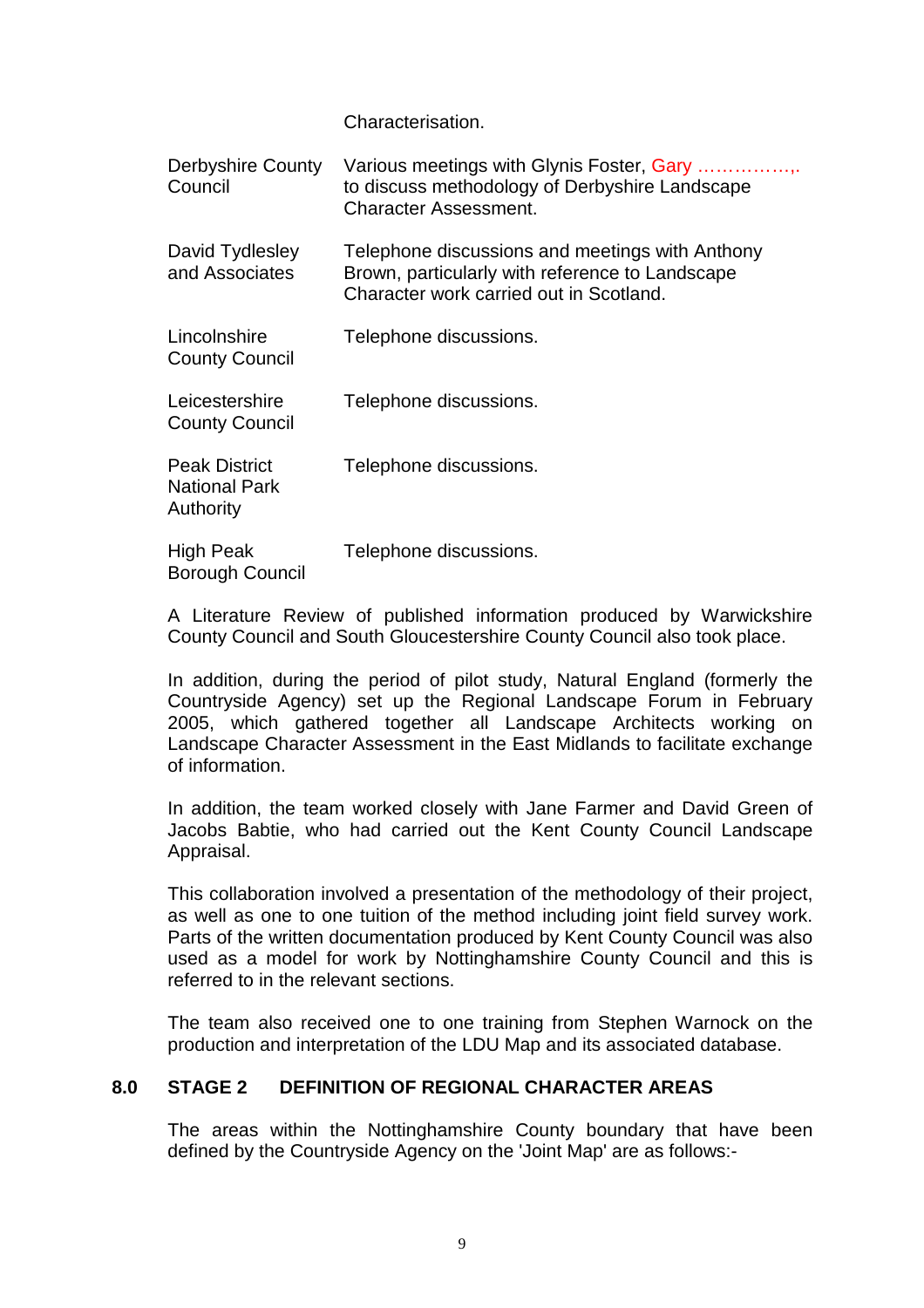Characterisation.

| <b>Derbyshire County</b><br>Council                       | Various meetings with Glynis Foster, Gary<br>to discuss methodology of Derbyshire Landscape<br><b>Character Assessment.</b>                   |
|-----------------------------------------------------------|-----------------------------------------------------------------------------------------------------------------------------------------------|
| David Tydlesley<br>and Associates                         | Telephone discussions and meetings with Anthony<br>Brown, particularly with reference to Landscape<br>Character work carried out in Scotland. |
| Lincolnshire<br><b>County Council</b>                     | Telephone discussions.                                                                                                                        |
| Leicestershire<br><b>County Council</b>                   | Telephone discussions.                                                                                                                        |
| <b>Peak District</b><br><b>National Park</b><br>Authority | Telephone discussions.                                                                                                                        |
| <b>High Peak</b><br><b>Borough Council</b>                | Telephone discussions.                                                                                                                        |

 A Literature Review of published information produced by Warwickshire County Council and South Gloucestershire County Council also took place.

 In addition, during the period of pilot study, Natural England (formerly the Countryside Agency) set up the Regional Landscape Forum in February 2005, which gathered together all Landscape Architects working on Landscape Character Assessment in the East Midlands to facilitate exchange of information.

 In addition, the team worked closely with Jane Farmer and David Green of Jacobs Babtie, who had carried out the Kent County Council Landscape Appraisal.

 This collaboration involved a presentation of the methodology of their project, as well as one to one tuition of the method including joint field survey work. Parts of the written documentation produced by Kent County Council was also used as a model for work by Nottinghamshire County Council and this is referred to in the relevant sections.

 The team also received one to one training from Stephen Warnock on the production and interpretation of the LDU Map and its associated database.

#### **8.0 STAGE 2 DEFINITION OF REGIONAL CHARACTER AREAS**

 The areas within the Nottinghamshire County boundary that have been defined by the Countryside Agency on the 'Joint Map' are as follows:-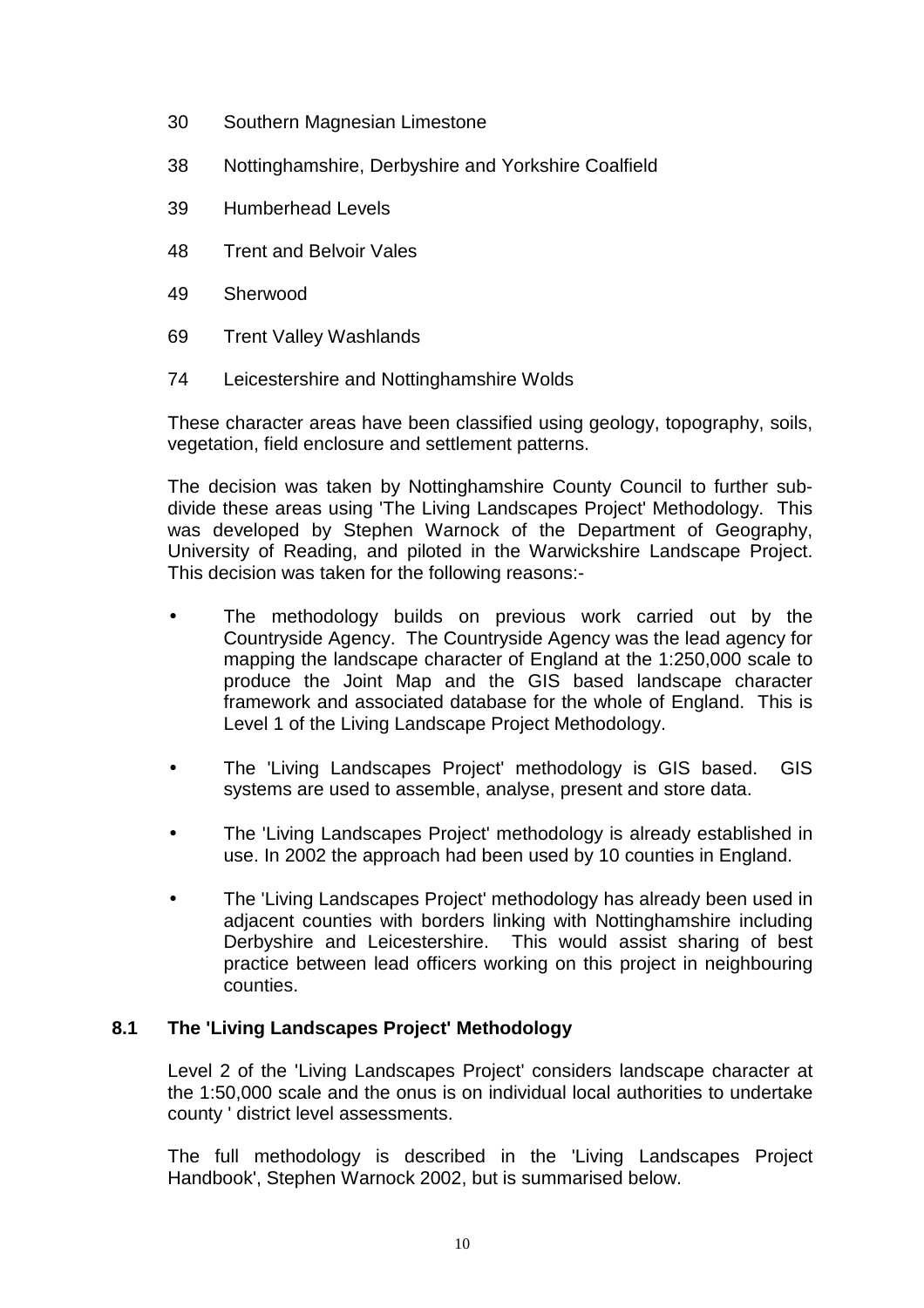- 30 Southern Magnesian Limestone
- 38 Nottinghamshire, Derbyshire and Yorkshire Coalfield
- 39 Humberhead Levels
- 48 Trent and Belvoir Vales
- 49 Sherwood
- 69 Trent Valley Washlands
- 74 Leicestershire and Nottinghamshire Wolds

These character areas have been classified using geology, topography, soils, vegetation, field enclosure and settlement patterns.

The decision was taken by Nottinghamshire County Council to further subdivide these areas using 'The Living Landscapes Project' Methodology. This was developed by Stephen Warnock of the Department of Geography, University of Reading, and piloted in the Warwickshire Landscape Project. This decision was taken for the following reasons:-

- The methodology builds on previous work carried out by the Countryside Agency. The Countryside Agency was the lead agency for mapping the landscape character of England at the 1:250,000 scale to produce the Joint Map and the GIS based landscape character framework and associated database for the whole of England. This is Level 1 of the Living Landscape Project Methodology.
- The 'Living Landscapes Project' methodology is GIS based. GIS systems are used to assemble, analyse, present and store data.
- The 'Living Landscapes Project' methodology is already established in use. In 2002 the approach had been used by 10 counties in England.
- The 'Living Landscapes Project' methodology has already been used in adjacent counties with borders linking with Nottinghamshire including Derbyshire and Leicestershire. This would assist sharing of best practice between lead officers working on this project in neighbouring counties.

#### **8.1 The 'Living Landscapes Project' Methodology**

 Level 2 of the 'Living Landscapes Project' considers landscape character at the 1:50,000 scale and the onus is on individual local authorities to undertake county ' district level assessments.

The full methodology is described in the 'Living Landscapes Project Handbook', Stephen Warnock 2002, but is summarised below.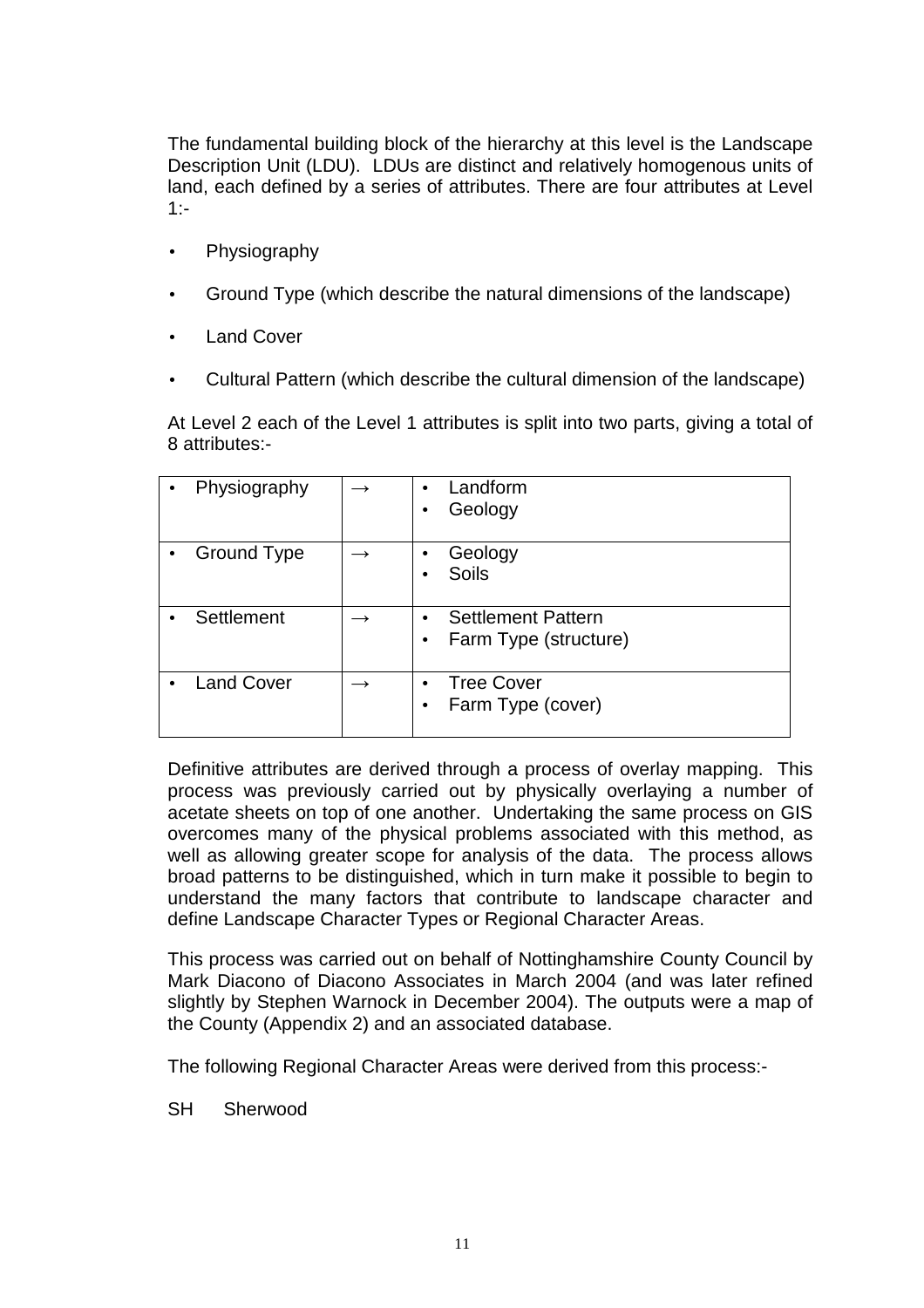The fundamental building block of the hierarchy at this level is the Landscape Description Unit (LDU). LDUs are distinct and relatively homogenous units of land, each defined by a series of attributes. There are four attributes at Level 1:-

- **Physiography**
- Ground Type (which describe the natural dimensions of the landscape)
- **Land Cover**
- Cultural Pattern (which describe the cultural dimension of the landscape)

At Level 2 each of the Level 1 attributes is split into two parts, giving a total of 8 attributes:-

|           | Physiography      | Landform<br>$\bullet$<br>Geology<br>$\bullet$                                |
|-----------|-------------------|------------------------------------------------------------------------------|
| $\bullet$ | Ground Type       | Geology<br>$\bullet$<br><b>Soils</b>                                         |
|           | Settlement        | <b>Settlement Pattern</b><br>$\bullet$<br>Farm Type (structure)<br>$\bullet$ |
|           | <b>Land Cover</b> | <b>Tree Cover</b><br>$\bullet$<br>Farm Type (cover)<br>$\bullet$             |

Definitive attributes are derived through a process of overlay mapping. This process was previously carried out by physically overlaying a number of acetate sheets on top of one another. Undertaking the same process on GIS overcomes many of the physical problems associated with this method, as well as allowing greater scope for analysis of the data. The process allows broad patterns to be distinguished, which in turn make it possible to begin to understand the many factors that contribute to landscape character and define Landscape Character Types or Regional Character Areas.

This process was carried out on behalf of Nottinghamshire County Council by Mark Diacono of Diacono Associates in March 2004 (and was later refined slightly by Stephen Warnock in December 2004). The outputs were a map of the County (Appendix 2) and an associated database.

The following Regional Character Areas were derived from this process:-

SH Sherwood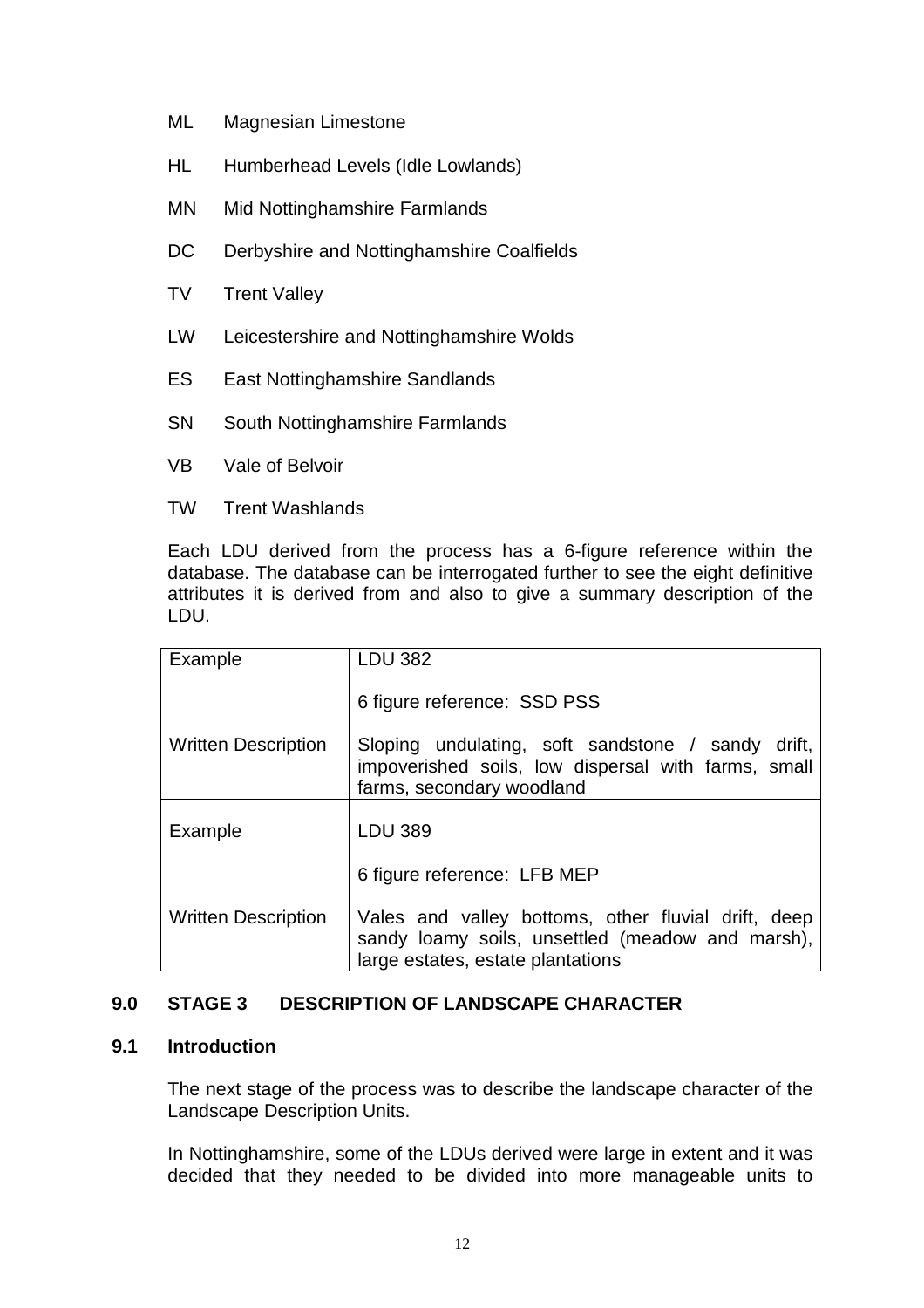- ML Magnesian Limestone
- HL Humberhead Levels (Idle Lowlands)
- MN Mid Nottinghamshire Farmlands
- DC Derbyshire and Nottinghamshire Coalfields
- **TV** Trent Valley
- LW Leicestershire and Nottinghamshire Wolds
- ES East Nottinghamshire Sandlands
- SN South Nottinghamshire Farmlands
- VB Vale of Belvoir
- TW Trent Washlands

 Each LDU derived from the process has a 6-figure reference within the database. The database can be interrogated further to see the eight definitive attributes it is derived from and also to give a summary description of the LDU.

| Example                    | <b>LDU 382</b>                                                                                                                               |
|----------------------------|----------------------------------------------------------------------------------------------------------------------------------------------|
|                            | 6 figure reference: SSD PSS                                                                                                                  |
| <b>Written Description</b> | Sloping undulating, soft sandstone / sandy drift,<br>impoverished soils, low dispersal with farms, small<br>farms, secondary woodland        |
| Example                    | <b>LDU 389</b>                                                                                                                               |
|                            | 6 figure reference: LFB MEP                                                                                                                  |
| <b>Written Description</b> | Vales and valley bottoms, other fluvial drift, deep<br>sandy loamy soils, unsettled (meadow and marsh),<br>large estates, estate plantations |

### **9.0 STAGE 3 DESCRIPTION OF LANDSCAPE CHARACTER**

### **9.1 Introduction**

 The next stage of the process was to describe the landscape character of the Landscape Description Units.

In Nottinghamshire, some of the LDUs derived were large in extent and it was decided that they needed to be divided into more manageable units to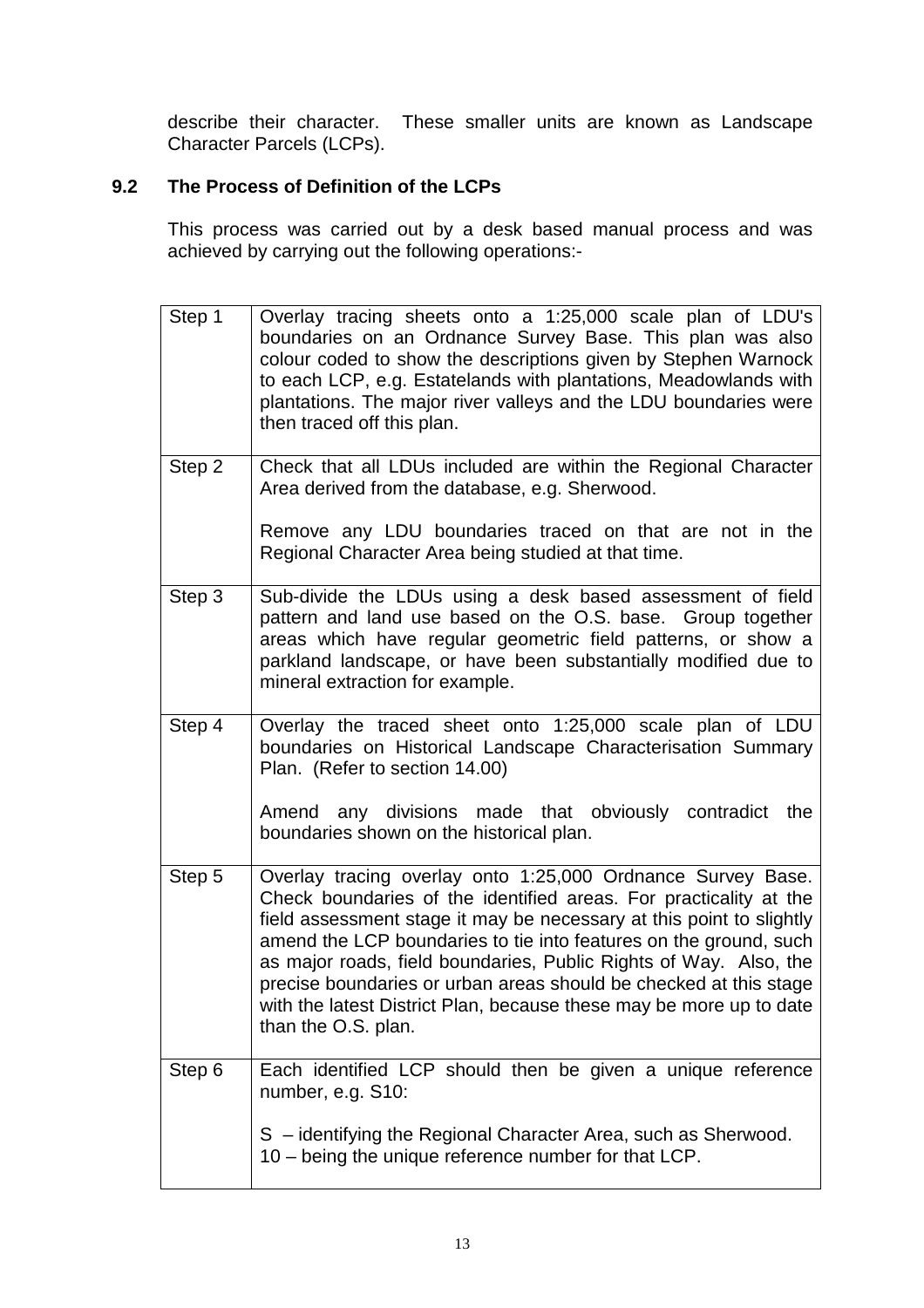describe their character. These smaller units are known as Landscape Character Parcels (LCPs).

### **9.2 The Process of Definition of the LCPs**

This process was carried out by a desk based manual process and was achieved by carrying out the following operations:-

| Step 1 | Overlay tracing sheets onto a 1:25,000 scale plan of LDU's<br>boundaries on an Ordnance Survey Base. This plan was also<br>colour coded to show the descriptions given by Stephen Warnock<br>to each LCP, e.g. Estatelands with plantations, Meadowlands with<br>plantations. The major river valleys and the LDU boundaries were<br>then traced off this plan.                                                                                                                                                       |
|--------|-----------------------------------------------------------------------------------------------------------------------------------------------------------------------------------------------------------------------------------------------------------------------------------------------------------------------------------------------------------------------------------------------------------------------------------------------------------------------------------------------------------------------|
| Step 2 | Check that all LDUs included are within the Regional Character<br>Area derived from the database, e.g. Sherwood.<br>Remove any LDU boundaries traced on that are not in the<br>Regional Character Area being studied at that time.                                                                                                                                                                                                                                                                                    |
| Step 3 | Sub-divide the LDUs using a desk based assessment of field<br>pattern and land use based on the O.S. base. Group together<br>areas which have regular geometric field patterns, or show a<br>parkland landscape, or have been substantially modified due to<br>mineral extraction for example.                                                                                                                                                                                                                        |
| Step 4 | Overlay the traced sheet onto 1:25,000 scale plan of LDU<br>boundaries on Historical Landscape Characterisation Summary<br>Plan. (Refer to section 14.00)<br>Amend any divisions made that obviously contradict<br>the<br>boundaries shown on the historical plan.                                                                                                                                                                                                                                                    |
| Step 5 | Overlay tracing overlay onto 1:25,000 Ordnance Survey Base.<br>Check boundaries of the identified areas. For practicality at the<br>field assessment stage it may be necessary at this point to slightly<br>amend the LCP boundaries to tie into features on the ground, such<br>as major roads, field boundaries, Public Rights of Way. Also, the<br>precise boundaries or urban areas should be checked at this stage<br>with the latest District Plan, because these may be more up to date<br>than the O.S. plan. |
| Step 6 | Each identified LCP should then be given a unique reference<br>number, e.g. S10:<br>S - identifying the Regional Character Area, such as Sherwood.<br>10 – being the unique reference number for that LCP.                                                                                                                                                                                                                                                                                                            |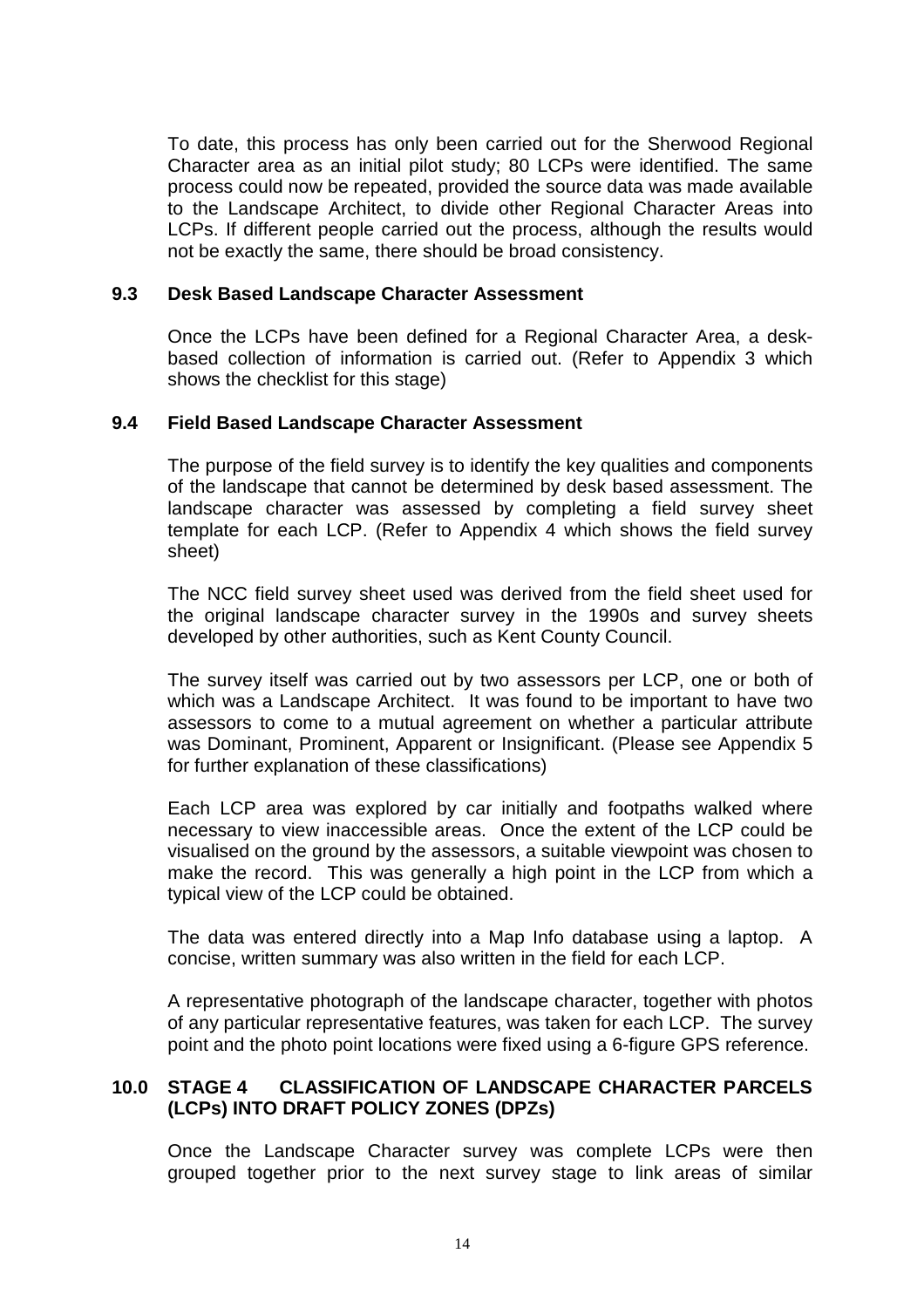To date, this process has only been carried out for the Sherwood Regional Character area as an initial pilot study; 80 LCPs were identified. The same process could now be repeated, provided the source data was made available to the Landscape Architect, to divide other Regional Character Areas into LCPs. If different people carried out the process, although the results would not be exactly the same, there should be broad consistency.

#### **9.3 Desk Based Landscape Character Assessment**

Once the LCPs have been defined for a Regional Character Area, a deskbased collection of information is carried out. (Refer to Appendix 3 which shows the checklist for this stage)

#### **9.4 Field Based Landscape Character Assessment**

The purpose of the field survey is to identify the key qualities and components of the landscape that cannot be determined by desk based assessment. The landscape character was assessed by completing a field survey sheet template for each LCP. (Refer to Appendix 4 which shows the field survey sheet)

The NCC field survey sheet used was derived from the field sheet used for the original landscape character survey in the 1990s and survey sheets developed by other authorities, such as Kent County Council.

The survey itself was carried out by two assessors per LCP, one or both of which was a Landscape Architect. It was found to be important to have two assessors to come to a mutual agreement on whether a particular attribute was Dominant, Prominent, Apparent or Insignificant. (Please see Appendix 5 for further explanation of these classifications)

Each LCP area was explored by car initially and footpaths walked where necessary to view inaccessible areas. Once the extent of the LCP could be visualised on the ground by the assessors, a suitable viewpoint was chosen to make the record. This was generally a high point in the LCP from which a typical view of the LCP could be obtained.

The data was entered directly into a Map Info database using a laptop. A concise, written summary was also written in the field for each LCP.

A representative photograph of the landscape character, together with photos of any particular representative features, was taken for each LCP. The survey point and the photo point locations were fixed using a 6-figure GPS reference.

#### **10.0 STAGE 4 CLASSIFICATION OF LANDSCAPE CHARACTER PARCELS (LCPs) INTO DRAFT POLICY ZONES (DPZs)**

 Once the Landscape Character survey was complete LCPs were then grouped together prior to the next survey stage to link areas of similar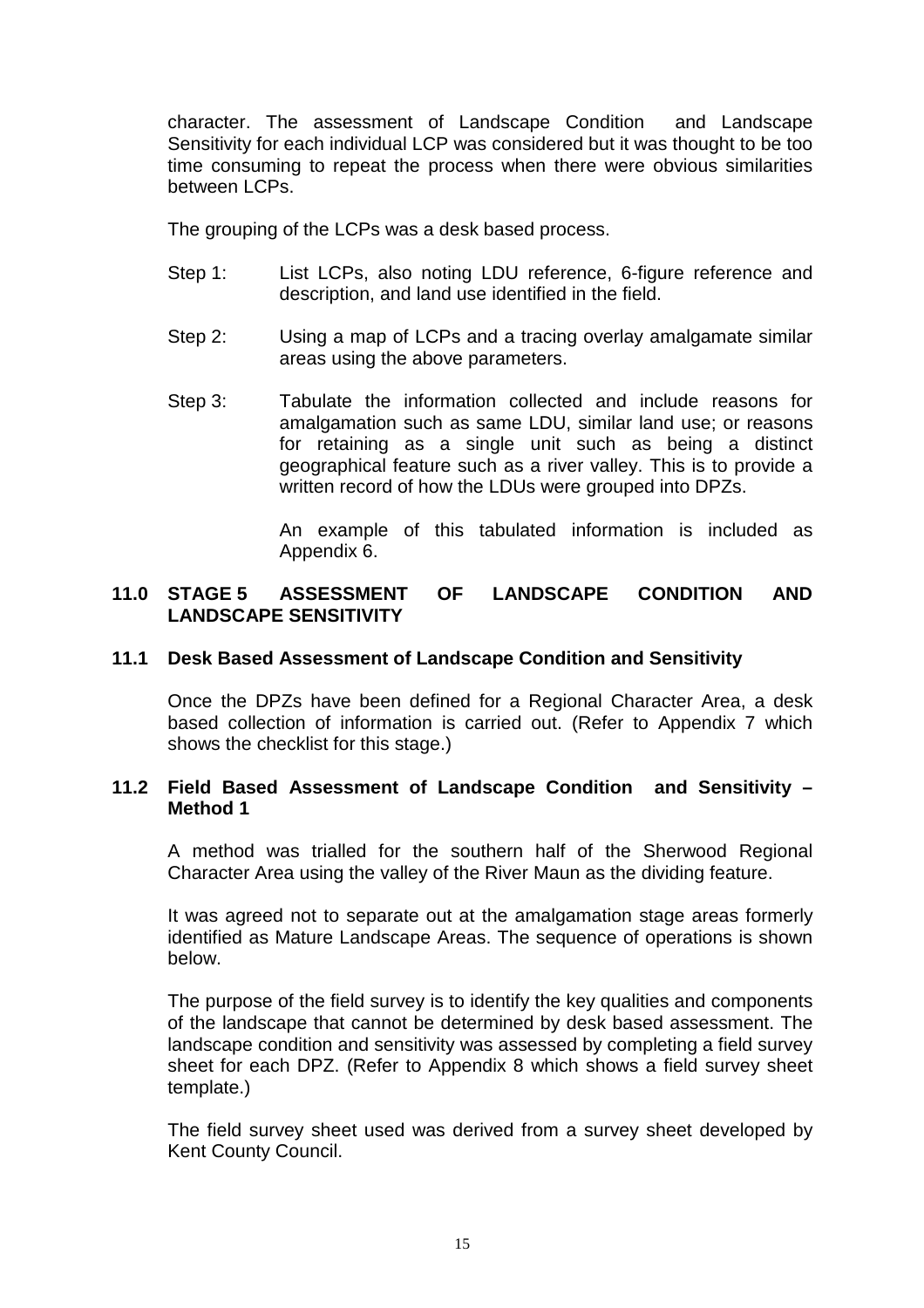character. The assessment of Landscape Condition and Landscape Sensitivity for each individual LCP was considered but it was thought to be too time consuming to repeat the process when there were obvious similarities between LCPs.

The grouping of the LCPs was a desk based process.

- Step 1: List LCPs, also noting LDU reference, 6-figure reference and description, and land use identified in the field.
- Step 2: Using a map of LCPs and a tracing overlay amalgamate similar areas using the above parameters.
- Step 3: Tabulate the information collected and include reasons for amalgamation such as same LDU, similar land use; or reasons for retaining as a single unit such as being a distinct geographical feature such as a river valley. This is to provide a written record of how the LDUs were grouped into DPZs.

 An example of this tabulated information is included as Appendix 6.

#### **11.0 STAGE 5 ASSESSMENT OF LANDSCAPE CONDITION AND LANDSCAPE SENSITIVITY**

#### **11.1 Desk Based Assessment of Landscape Condition and Sensitivity**

 Once the DPZs have been defined for a Regional Character Area, a desk based collection of information is carried out. (Refer to Appendix 7 which shows the checklist for this stage.)

#### **11.2 Field Based Assessment of Landscape Condition and Sensitivity – Method 1**

 A method was trialled for the southern half of the Sherwood Regional Character Area using the valley of the River Maun as the dividing feature.

 It was agreed not to separate out at the amalgamation stage areas formerly identified as Mature Landscape Areas. The sequence of operations is shown below.

 The purpose of the field survey is to identify the key qualities and components of the landscape that cannot be determined by desk based assessment. The landscape condition and sensitivity was assessed by completing a field survey sheet for each DPZ. (Refer to Appendix 8 which shows a field survey sheet template.)

 The field survey sheet used was derived from a survey sheet developed by Kent County Council.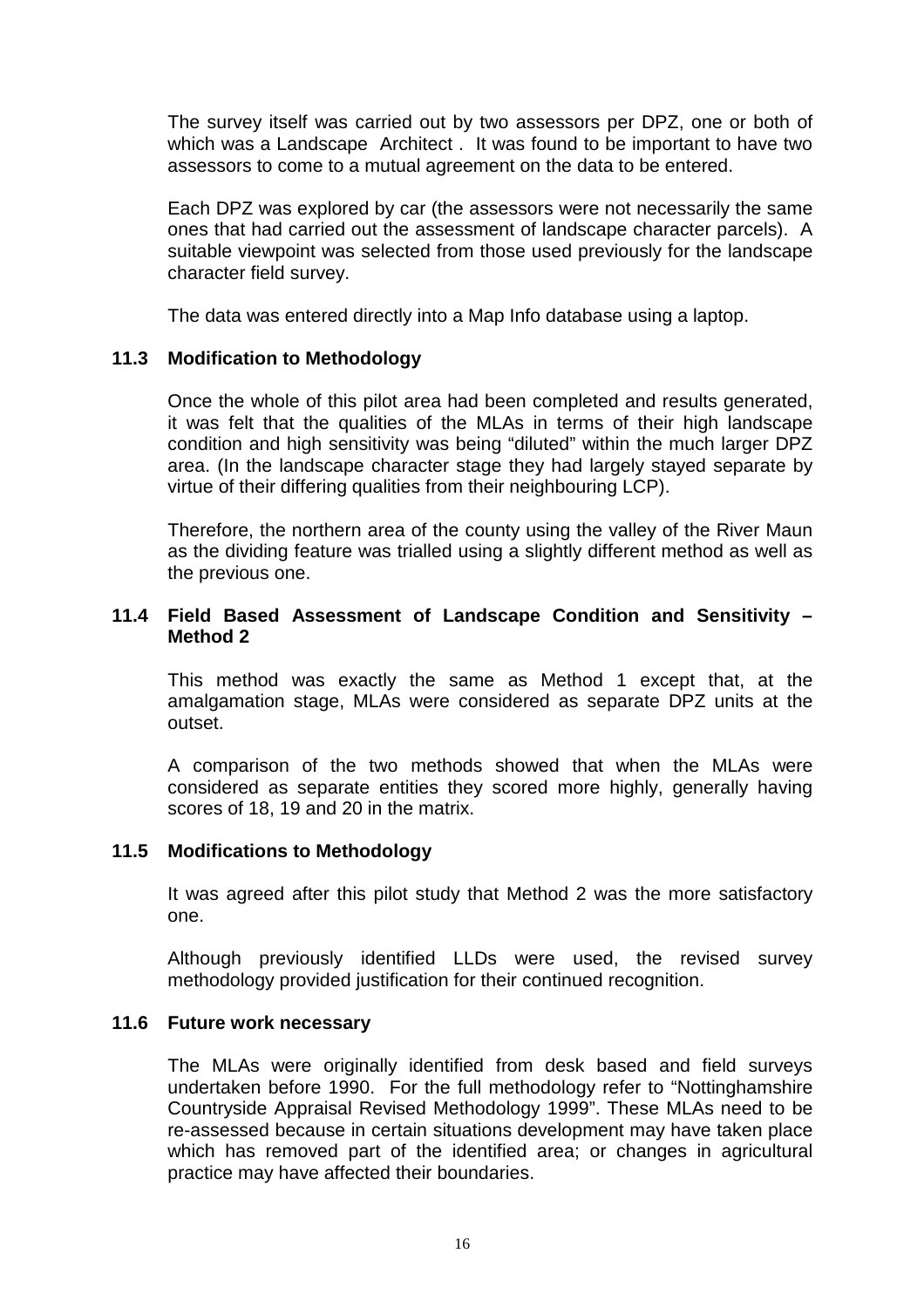The survey itself was carried out by two assessors per DPZ, one or both of which was a Landscape Architect . It was found to be important to have two assessors to come to a mutual agreement on the data to be entered.

 Each DPZ was explored by car (the assessors were not necessarily the same ones that had carried out the assessment of landscape character parcels). A suitable viewpoint was selected from those used previously for the landscape character field survey.

The data was entered directly into a Map Info database using a laptop.

#### **11.3 Modification to Methodology**

 Once the whole of this pilot area had been completed and results generated, it was felt that the qualities of the MLAs in terms of their high landscape condition and high sensitivity was being "diluted" within the much larger DPZ area. (In the landscape character stage they had largely stayed separate by virtue of their differing qualities from their neighbouring LCP).

 Therefore, the northern area of the county using the valley of the River Maun as the dividing feature was trialled using a slightly different method as well as the previous one.

#### **11.4 Field Based Assessment of Landscape Condition and Sensitivity – Method 2**

 This method was exactly the same as Method 1 except that, at the amalgamation stage, MLAs were considered as separate DPZ units at the outset.

 A comparison of the two methods showed that when the MLAs were considered as separate entities they scored more highly, generally having scores of 18, 19 and 20 in the matrix.

#### **11.5 Modifications to Methodology**

 It was agreed after this pilot study that Method 2 was the more satisfactory one.

 Although previously identified LLDs were used, the revised survey methodology provided justification for their continued recognition.

#### **11.6 Future work necessary**

 The MLAs were originally identified from desk based and field surveys undertaken before 1990. For the full methodology refer to "Nottinghamshire Countryside Appraisal Revised Methodology 1999". These MLAs need to be re-assessed because in certain situations development may have taken place which has removed part of the identified area; or changes in agricultural practice may have affected their boundaries.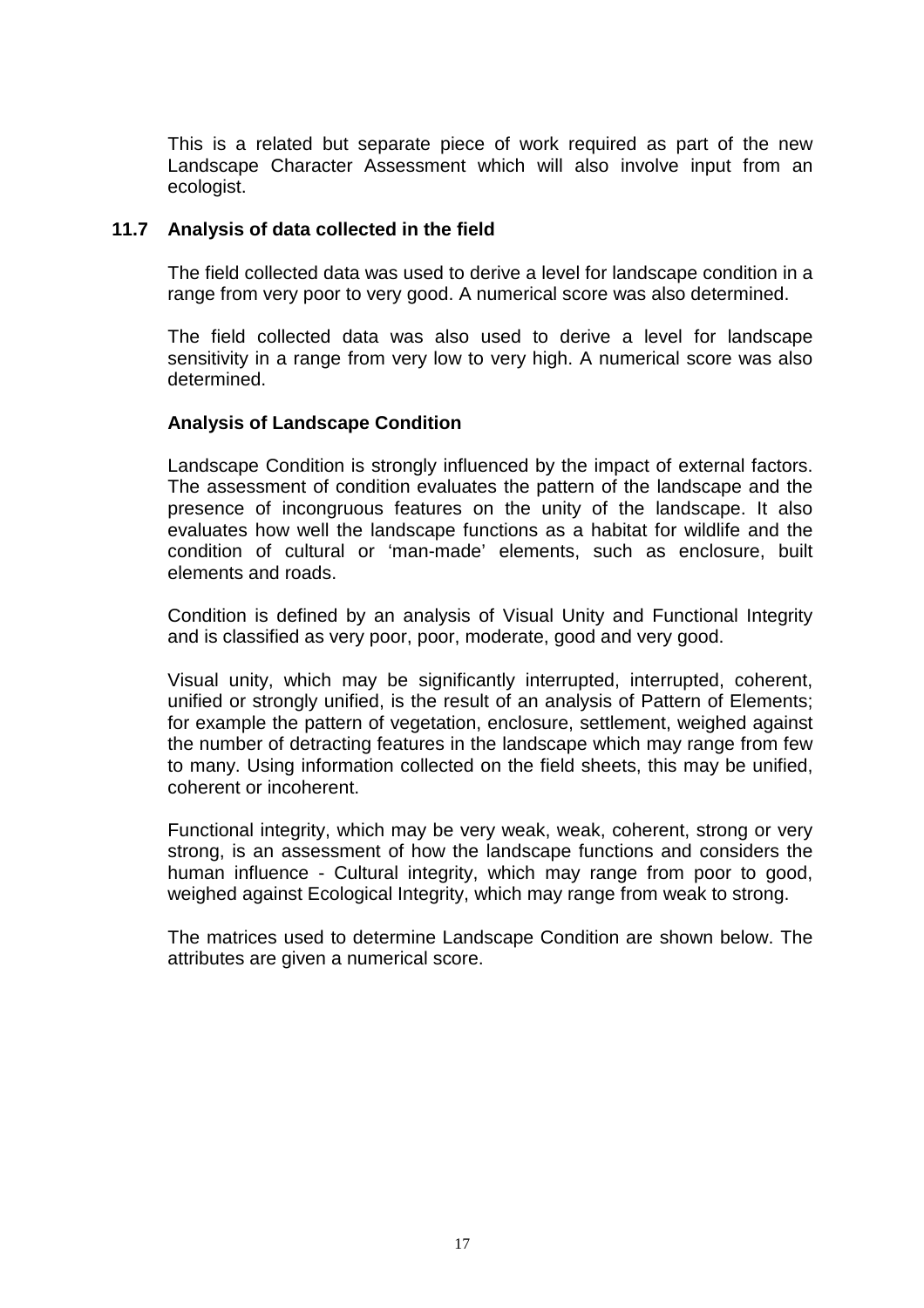This is a related but separate piece of work required as part of the new Landscape Character Assessment which will also involve input from an ecologist.

#### **11.7 Analysis of data collected in the field**

 The field collected data was used to derive a level for landscape condition in a range from very poor to very good. A numerical score was also determined.

 The field collected data was also used to derive a level for landscape sensitivity in a range from very low to very high. A numerical score was also determined.

#### **Analysis of Landscape Condition**

 Landscape Condition is strongly influenced by the impact of external factors. The assessment of condition evaluates the pattern of the landscape and the presence of incongruous features on the unity of the landscape. It also evaluates how well the landscape functions as a habitat for wildlife and the condition of cultural or 'man-made' elements, such as enclosure, built elements and roads.

 Condition is defined by an analysis of Visual Unity and Functional Integrity and is classified as very poor, poor, moderate, good and very good.

Visual unity, which may be significantly interrupted, interrupted, coherent, unified or strongly unified, is the result of an analysis of Pattern of Elements; for example the pattern of vegetation, enclosure, settlement, weighed against the number of detracting features in the landscape which may range from few to many. Using information collected on the field sheets, this may be unified, coherent or incoherent.

Functional integrity, which may be very weak, weak, coherent, strong or very strong, is an assessment of how the landscape functions and considers the human influence - Cultural integrity, which may range from poor to good, weighed against Ecological Integrity, which may range from weak to strong.

The matrices used to determine Landscape Condition are shown below. The attributes are given a numerical score.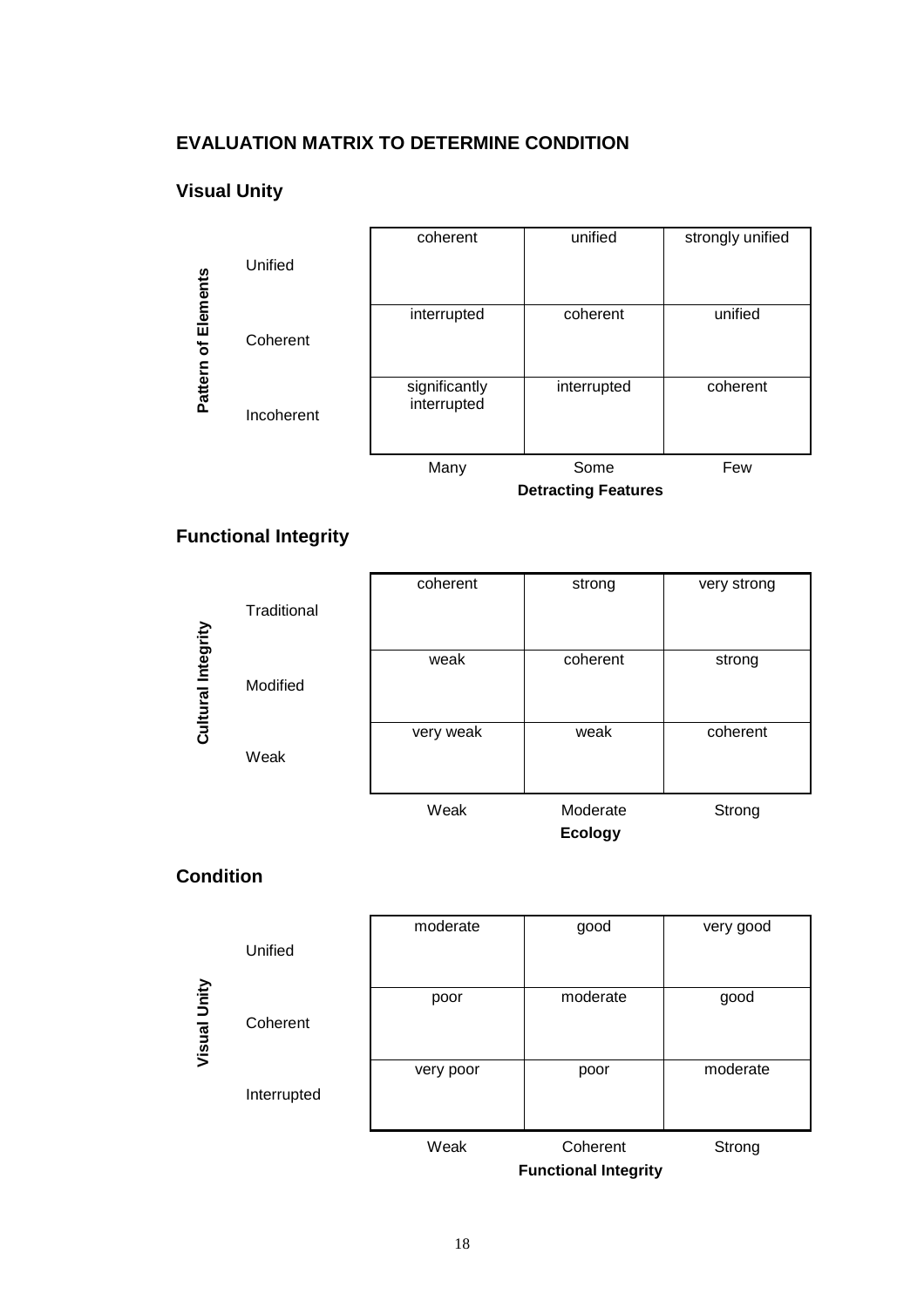#### **EVALUATION MATRIX TO DETERMINE CONDITION**

### **Visual Unity**



### **Functional Integrity**



### **Condition**

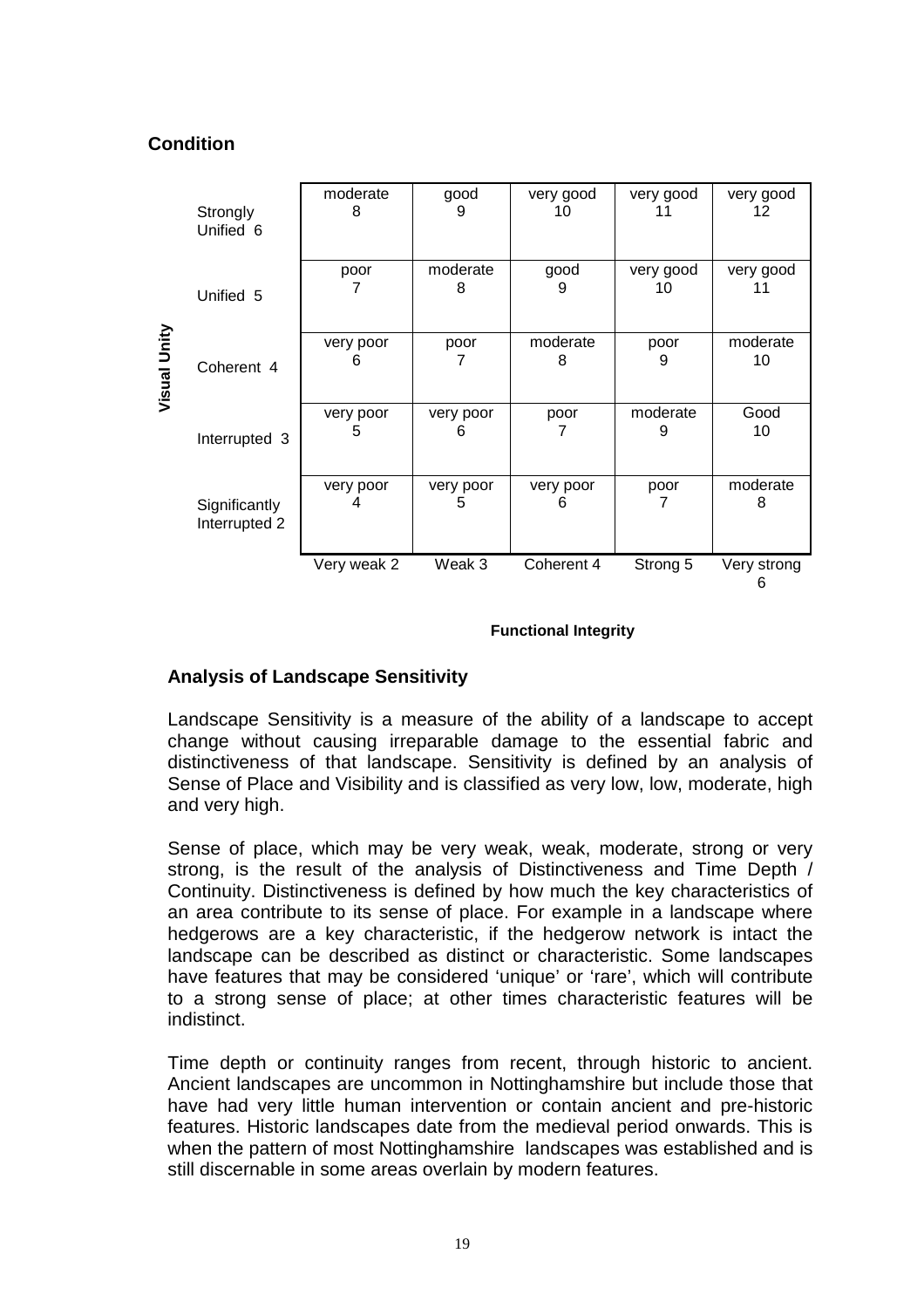### **Condition**

|              | Strongly<br>Unified 6          | moderate<br>8  | good<br>9      | very good<br>10 | very good<br>11 | very good<br>12 |
|--------------|--------------------------------|----------------|----------------|-----------------|-----------------|-----------------|
|              | Unified 5                      | poor           | moderate<br>8  | good<br>9       | very good<br>10 | very good<br>11 |
| Visual Unity | Coherent 4                     | very poor<br>6 | poor           | moderate<br>8   | poor<br>9       | moderate<br>10  |
|              | Interrupted 3                  | very poor<br>5 | very poor<br>6 | poor            | moderate<br>9   | Good<br>10      |
|              | Significantly<br>Interrupted 2 | very poor      | very poor<br>5 | very poor<br>6  | poor<br>7       | moderate<br>8   |
|              |                                | Very weak 2    | Weak 3         | Coherent 4      | Strong 5        | Very strong     |

#### **Functional Integrity**

### **Analysis of Landscape Sensitivity**

 Landscape Sensitivity is a measure of the ability of a landscape to accept change without causing irreparable damage to the essential fabric and distinctiveness of that landscape. Sensitivity is defined by an analysis of Sense of Place and Visibility and is classified as very low, low, moderate, high and very high.

Sense of place, which may be very weak, weak, moderate, strong or very strong, is the result of the analysis of Distinctiveness and Time Depth / Continuity. Distinctiveness is defined by how much the key characteristics of an area contribute to its sense of place. For example in a landscape where hedgerows are a key characteristic, if the hedgerow network is intact the landscape can be described as distinct or characteristic. Some landscapes have features that may be considered 'unique' or 'rare', which will contribute to a strong sense of place; at other times characteristic features will be indistinct.

Time depth or continuity ranges from recent, through historic to ancient. Ancient landscapes are uncommon in Nottinghamshire but include those that have had very little human intervention or contain ancient and pre-historic features. Historic landscapes date from the medieval period onwards. This is when the pattern of most Nottinghamshire landscapes was established and is still discernable in some areas overlain by modern features.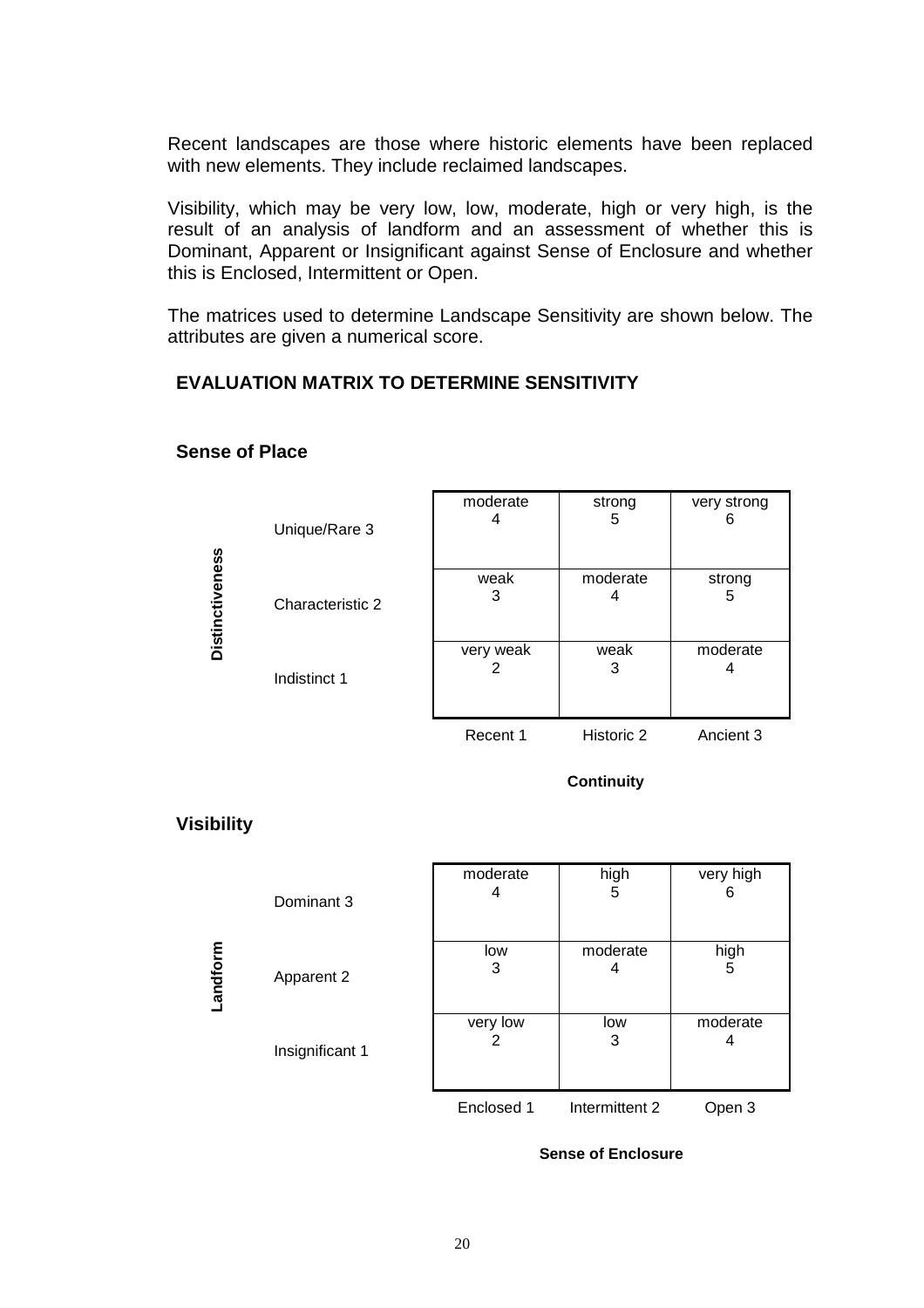Recent landscapes are those where historic elements have been replaced with new elements. They include reclaimed landscapes.

Visibility, which may be very low, low, moderate, high or very high, is the result of an analysis of landform and an assessment of whether this is Dominant, Apparent or Insignificant against Sense of Enclosure and whether this is Enclosed, Intermittent or Open.

The matrices used to determine Landscape Sensitivity are shown below. The attributes are given a numerical score.

### **EVALUATION MATRIX TO DETERMINE SENSITIVITY**

|                        | Unique/Rare 3    | moderate  | strong<br>5   | very strong |
|------------------------|------------------|-----------|---------------|-------------|
| <b>Distinctiveness</b> | Characteristic 2 | weak<br>3 | moderate<br>4 | strong<br>ა |
|                        | Indistinct 1     | very weak | weak<br>3     | moderate    |
|                        |                  | Recent 1  | Historic 2    | Ancient 3   |

#### **Sense of Place**

**Continuity** 

### **Visibility**

|         | Dominant 3      | moderate<br>4 | high<br>5      | very high<br>6 |
|---------|-----------------|---------------|----------------|----------------|
| andform | Apparent 2      | low<br>3      | moderate<br>4  | high<br>5      |
|         | Insignificant 1 | very low      | low<br>3       | moderate<br>4  |
|         |                 | Enclosed 1    | Intermittent 2 | Open 3         |

**Sense of Enclosure**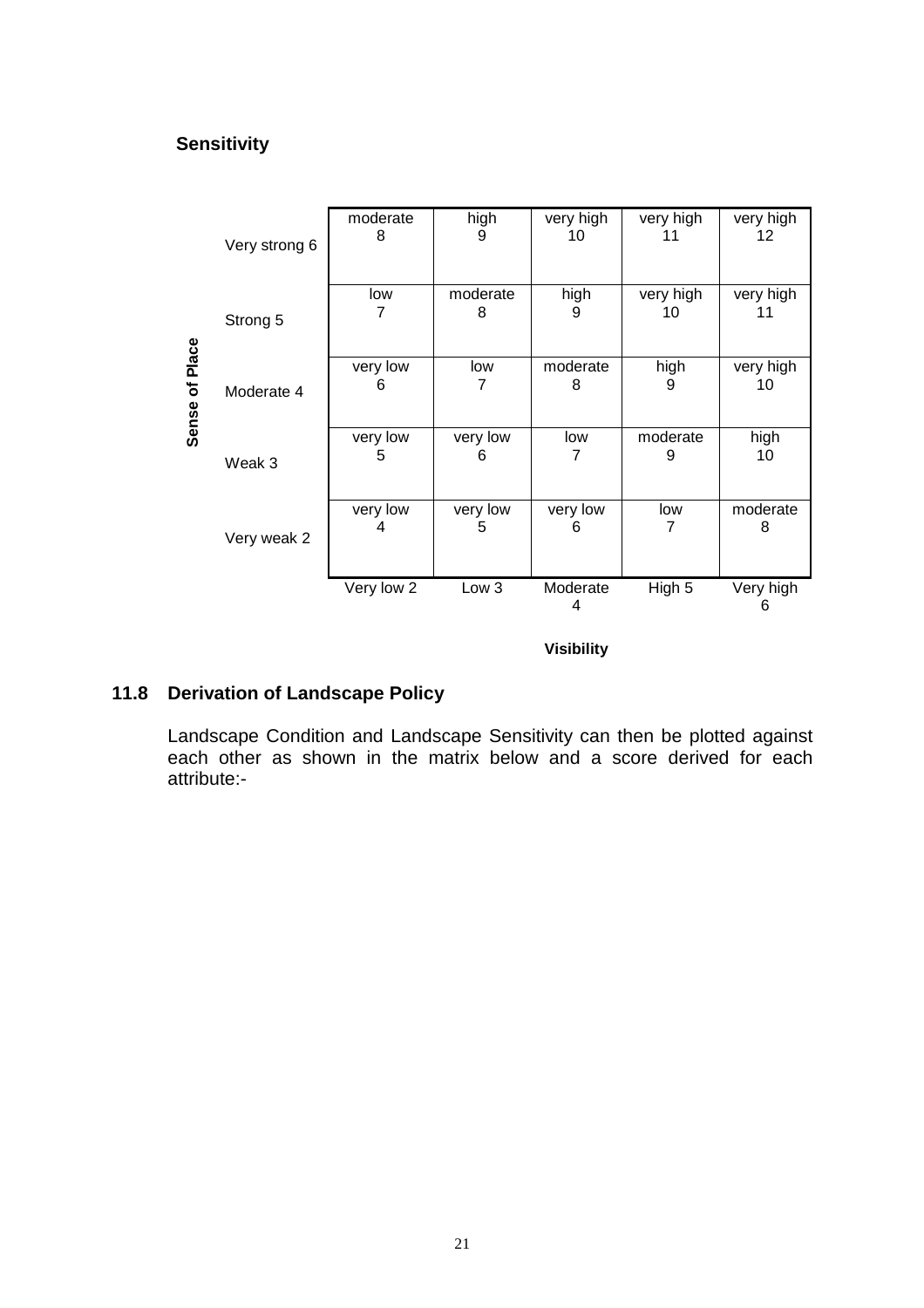### **Sensitivity**



# **11.8 Derivation of Landscape Policy**

 Landscape Condition and Landscape Sensitivity can then be plotted against each other as shown in the matrix below and a score derived for each attribute:-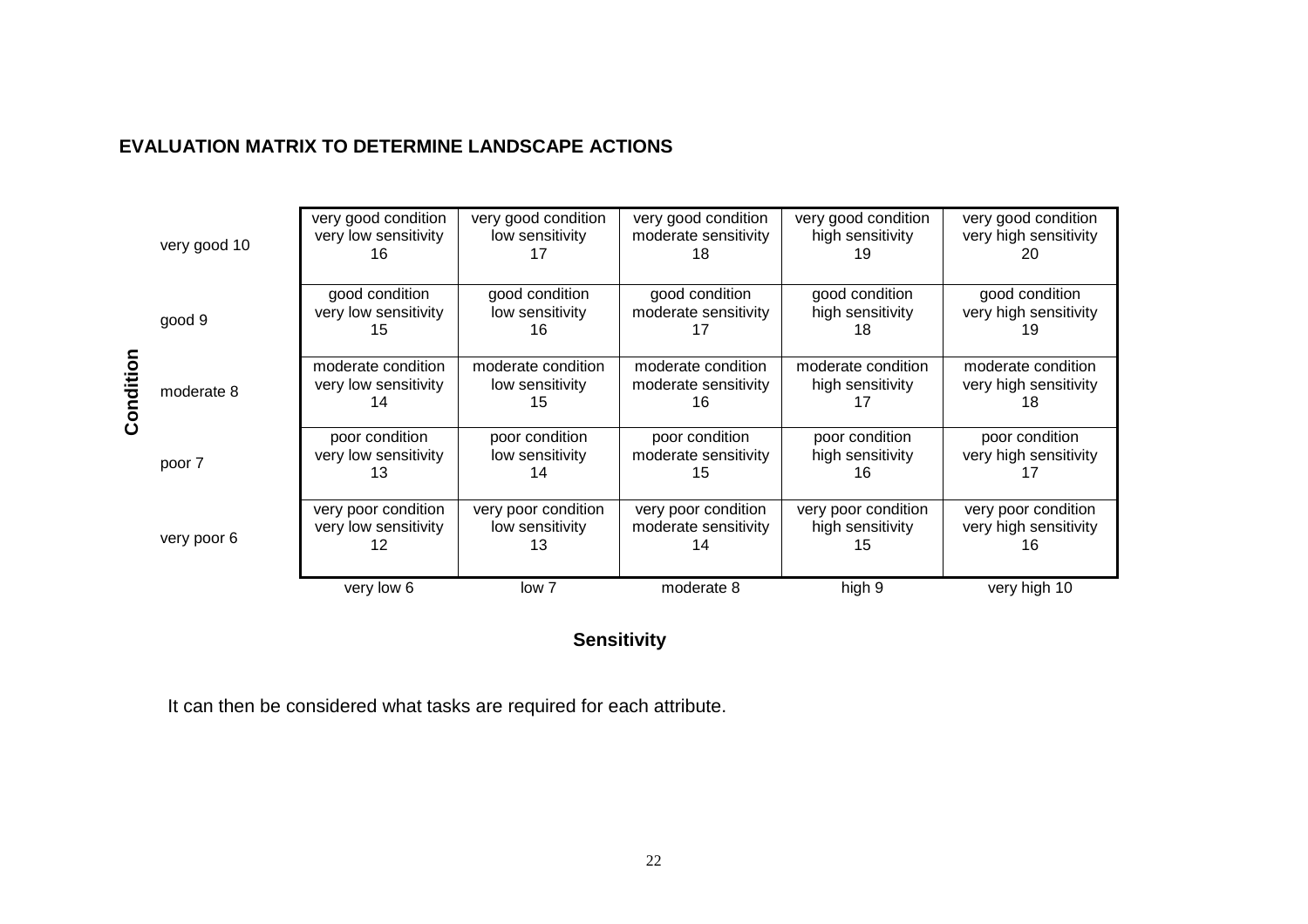### **EVALUATION MATRIX TO DETERMINE LANDSCAPE ACTIONS**

|        | very good 10 | very good condition<br>very low sensitivity<br>16 | very good condition<br>low sensitivity       | very good condition<br>moderate sensitivity<br>18 | very good condition<br>high sensitivity<br>ıу | very good condition<br>very high sensitivity<br>20 |
|--------|--------------|---------------------------------------------------|----------------------------------------------|---------------------------------------------------|-----------------------------------------------|----------------------------------------------------|
|        | good 9       | good condition<br>very low sensitivity<br>15      | good condition<br>low sensitivity<br>16      | good condition<br>moderate sensitivity<br>17      | good condition<br>high sensitivity<br>18      | good condition<br>very high sensitivity<br>19      |
| oiitio | moderate 8   | moderate condition<br>very low sensitivity<br>14  | moderate condition<br>low sensitivity<br>15  | moderate condition<br>moderate sensitivity<br>16  | moderate condition<br>high sensitivity        | moderate condition<br>very high sensitivity<br>18  |
|        | poor 7       | poor condition<br>very low sensitivity<br>13      | poor condition<br>low sensitivity<br>14      | poor condition<br>moderate sensitivity<br>15      | poor condition<br>high sensitivity<br>16      | poor condition<br>very high sensitivity            |
|        | very poor 6  | very poor condition<br>very low sensitivity<br>12 | very poor condition<br>low sensitivity<br>13 | very poor condition<br>moderate sensitivity<br>14 | very poor condition<br>high sensitivity<br>15 | very poor condition<br>very high sensitivity<br>16 |
|        |              | very low 6                                        | low 7                                        | moderate 8                                        | high 9                                        | very high 10                                       |

### **Sensitivity**

It can then be considered what tasks are required for each attribute.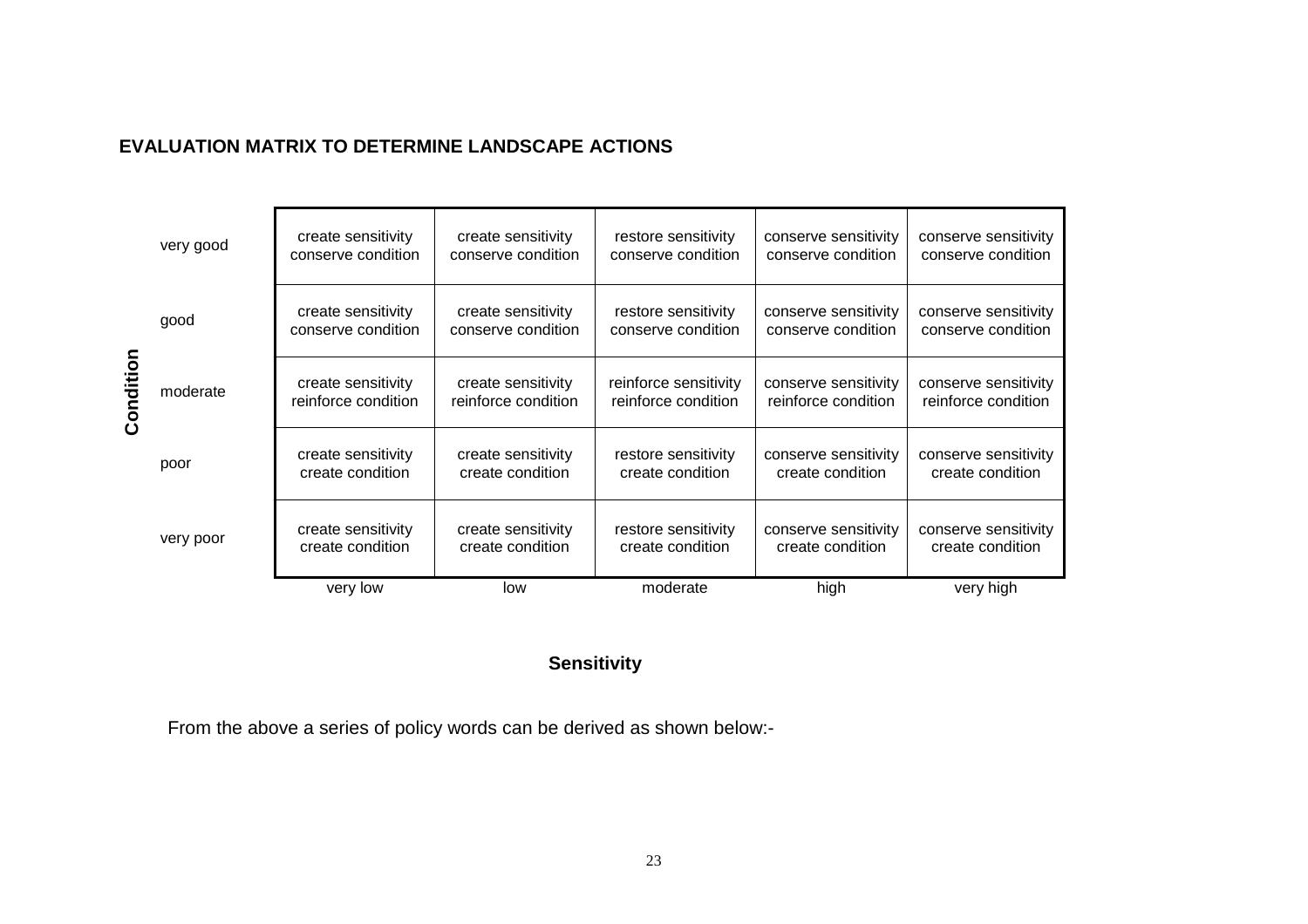### **EVALUATION MATRIX TO DETERMINE LANDSCAPE ACTIONS**

|           | very good | create sensitivity<br>conserve condition  | create sensitivity<br>conserve condition  | restore sensitivity<br>conserve condition    | conserve sensitivity<br>conserve condition  | conserve sensitivity<br>conserve condition  |
|-----------|-----------|-------------------------------------------|-------------------------------------------|----------------------------------------------|---------------------------------------------|---------------------------------------------|
|           | good      | create sensitivity<br>conserve condition  | create sensitivity<br>conserve condition  | restore sensitivity<br>conserve condition    | conserve sensitivity<br>conserve condition  | conserve sensitivity<br>conserve condition  |
| Condition | moderate  | create sensitivity<br>reinforce condition | create sensitivity<br>reinforce condition | reinforce sensitivity<br>reinforce condition | conserve sensitivity<br>reinforce condition | conserve sensitivity<br>reinforce condition |
|           | poor      | create sensitivity<br>create condition    | create sensitivity<br>create condition    | restore sensitivity<br>create condition      | conserve sensitivity<br>create condition    | conserve sensitivity<br>create condition    |
|           | very poor | create sensitivity<br>create condition    | create sensitivity<br>create condition    | restore sensitivity<br>create condition      | conserve sensitivity<br>create condition    | conserve sensitivity<br>create condition    |
|           |           | very low                                  | low                                       | moderate                                     | high                                        | very high                                   |

### **Sensitivity**

From the above a series of policy words can be derived as shown below:-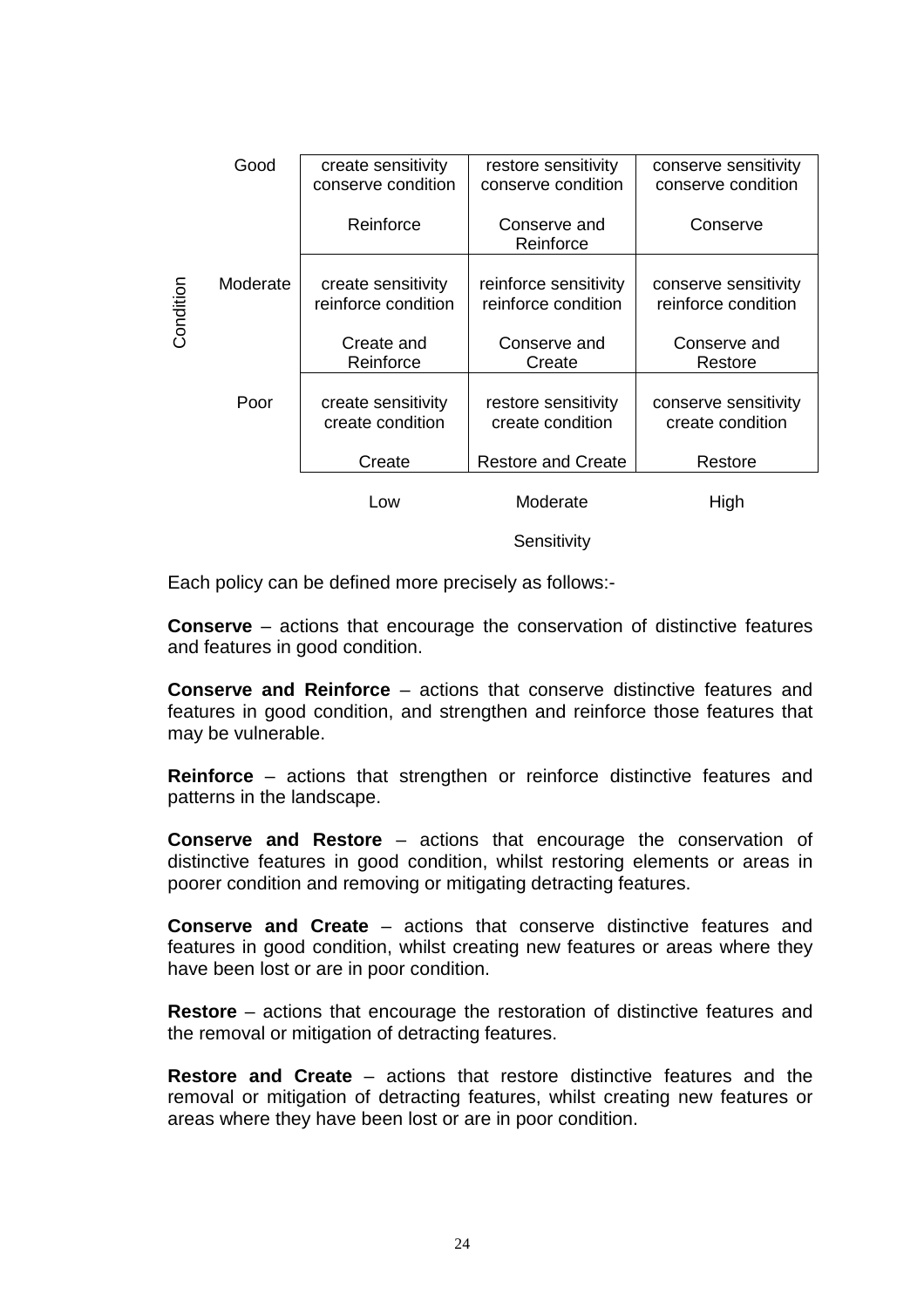|           | Good     | create sensitivity<br>conserve condition  | restore sensitivity<br>conserve condition    | conserve sensitivity<br>conserve condition  |
|-----------|----------|-------------------------------------------|----------------------------------------------|---------------------------------------------|
|           |          | Reinforce                                 | Conserve and<br>Reinforce                    | Conserve                                    |
| Condition | Moderate | create sensitivity<br>reinforce condition | reinforce sensitivity<br>reinforce condition | conserve sensitivity<br>reinforce condition |
|           |          | Create and<br>Reinforce                   | Conserve and<br>Create                       | Conserve and<br>Restore                     |
|           | Poor     | create sensitivity<br>create condition    | restore sensitivity<br>create condition      | conserve sensitivity<br>create condition    |
|           |          | Create                                    | <b>Restore and Create</b>                    | Restore                                     |
|           |          | Low                                       | Moderate                                     | High                                        |

**Sensitivity** 

Each policy can be defined more precisely as follows:-

**Conserve** – actions that encourage the conservation of distinctive features and features in good condition.

**Conserve and Reinforce** – actions that conserve distinctive features and features in good condition, and strengthen and reinforce those features that may be vulnerable.

 **Reinforce** – actions that strengthen or reinforce distinctive features and patterns in the landscape.

**Conserve and Restore** – actions that encourage the conservation of distinctive features in good condition, whilst restoring elements or areas in poorer condition and removing or mitigating detracting features.

**Conserve and Create** – actions that conserve distinctive features and features in good condition, whilst creating new features or areas where they have been lost or are in poor condition.

**Restore** – actions that encourage the restoration of distinctive features and the removal or mitigation of detracting features.

**Restore and Create** – actions that restore distinctive features and the removal or mitigation of detracting features, whilst creating new features or areas where they have been lost or are in poor condition.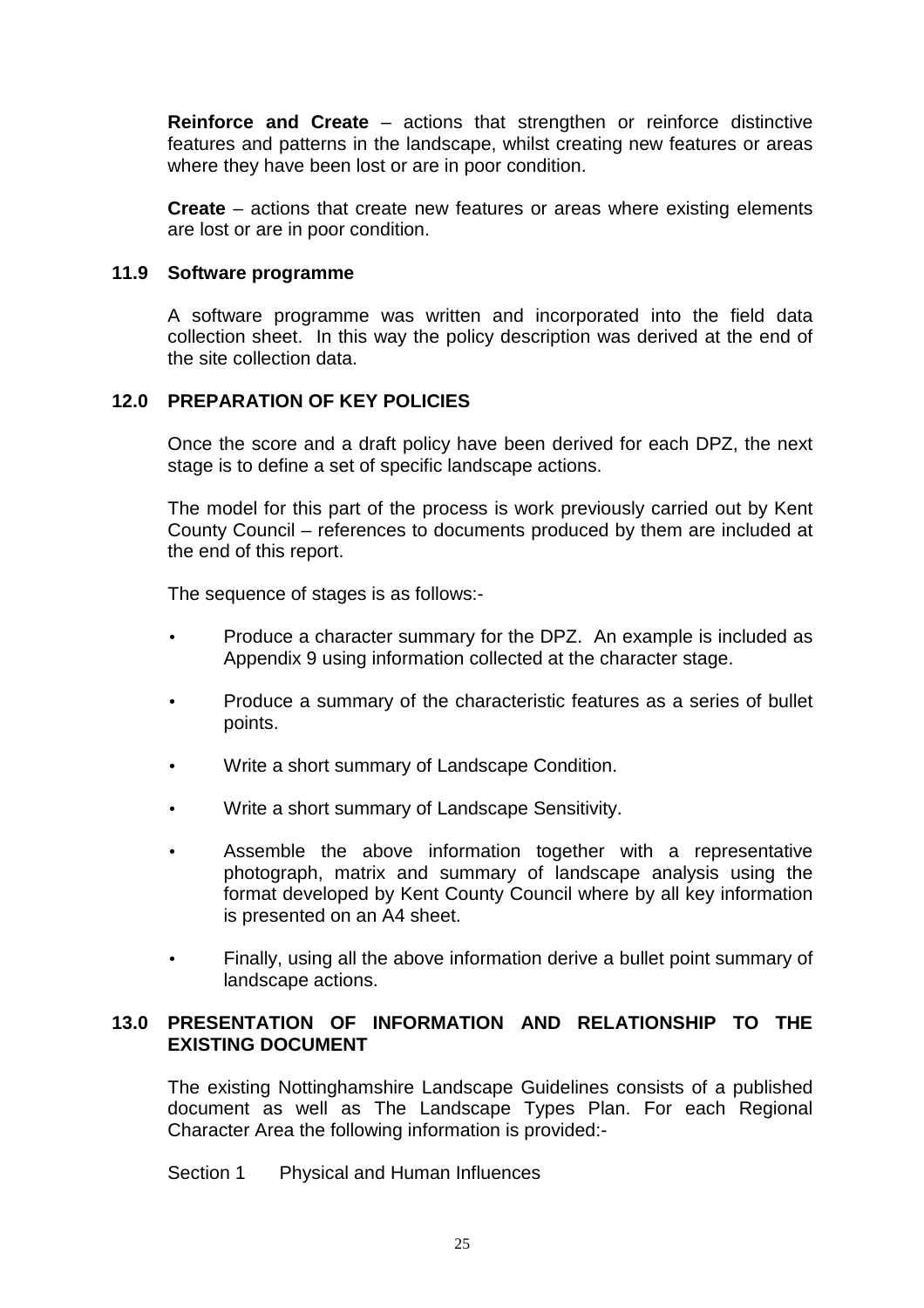**Reinforce and Create** – actions that strengthen or reinforce distinctive features and patterns in the landscape, whilst creating new features or areas where they have been lost or are in poor condition.

**Create** – actions that create new features or areas where existing elements are lost or are in poor condition.

#### **11.9 Software programme**

 A software programme was written and incorporated into the field data collection sheet. In this way the policy description was derived at the end of the site collection data.

### **12.0 PREPARATION OF KEY POLICIES**

 Once the score and a draft policy have been derived for each DPZ, the next stage is to define a set of specific landscape actions.

 The model for this part of the process is work previously carried out by Kent County Council – references to documents produced by them are included at the end of this report.

The sequence of stages is as follows:-

- Produce a character summary for the DPZ. An example is included as Appendix 9 using information collected at the character stage.
- Produce a summary of the characteristic features as a series of bullet points.
- Write a short summary of Landscape Condition.
- Write a short summary of Landscape Sensitivity.
- Assemble the above information together with a representative photograph, matrix and summary of landscape analysis using the format developed by Kent County Council where by all key information is presented on an A4 sheet.
- Finally, using all the above information derive a bullet point summary of landscape actions.

#### **13.0 PRESENTATION OF INFORMATION AND RELATIONSHIP TO THE EXISTING DOCUMENT**

 The existing Nottinghamshire Landscape Guidelines consists of a published document as well as The Landscape Types Plan. For each Regional Character Area the following information is provided:-

Section 1 Physical and Human Influences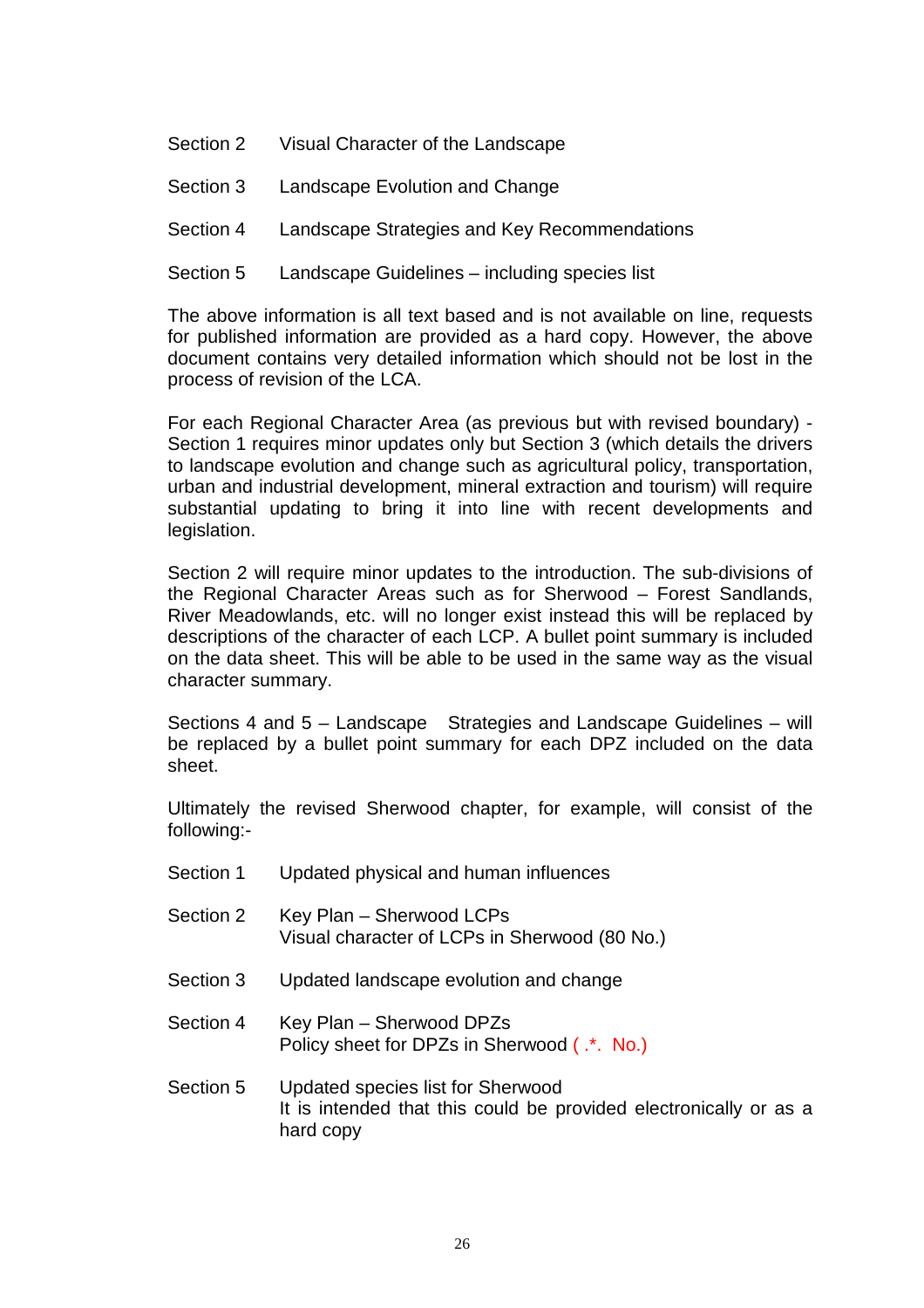- Section 2 Visual Character of the Landscape
- Section 3 Landscape Evolution and Change
- Section 4 Landscape Strategies and Key Recommendations
- Section 5 Landscape Guidelines including species list

The above information is all text based and is not available on line, requests for published information are provided as a hard copy. However, the above document contains very detailed information which should not be lost in the process of revision of the LCA.

For each Regional Character Area (as previous but with revised boundary) - Section 1 requires minor updates only but Section 3 (which details the drivers to landscape evolution and change such as agricultural policy, transportation, urban and industrial development, mineral extraction and tourism) will require substantial updating to bring it into line with recent developments and legislation.

Section 2 will require minor updates to the introduction. The sub-divisions of the Regional Character Areas such as for Sherwood – Forest Sandlands, River Meadowlands, etc. will no longer exist instead this will be replaced by descriptions of the character of each LCP. A bullet point summary is included on the data sheet. This will be able to be used in the same way as the visual character summary.

Sections 4 and 5 – Landscape Strategies and Landscape Guidelines – will be replaced by a bullet point summary for each DPZ included on the data sheet.

Ultimately the revised Sherwood chapter, for example, will consist of the following:-

- Section 1 Updated physical and human influences Section 2 Key Plan – Sherwood LCPs Visual character of LCPs in Sherwood (80 No.) Section 3 Updated landscape evolution and change
- Section 4 Key Plan Sherwood DPZs Policy sheet for DPZs in Sherwood ( $\cdot$ \*. No.)
- Section 5 Updated species list for Sherwood It is intended that this could be provided electronically or as a hard copy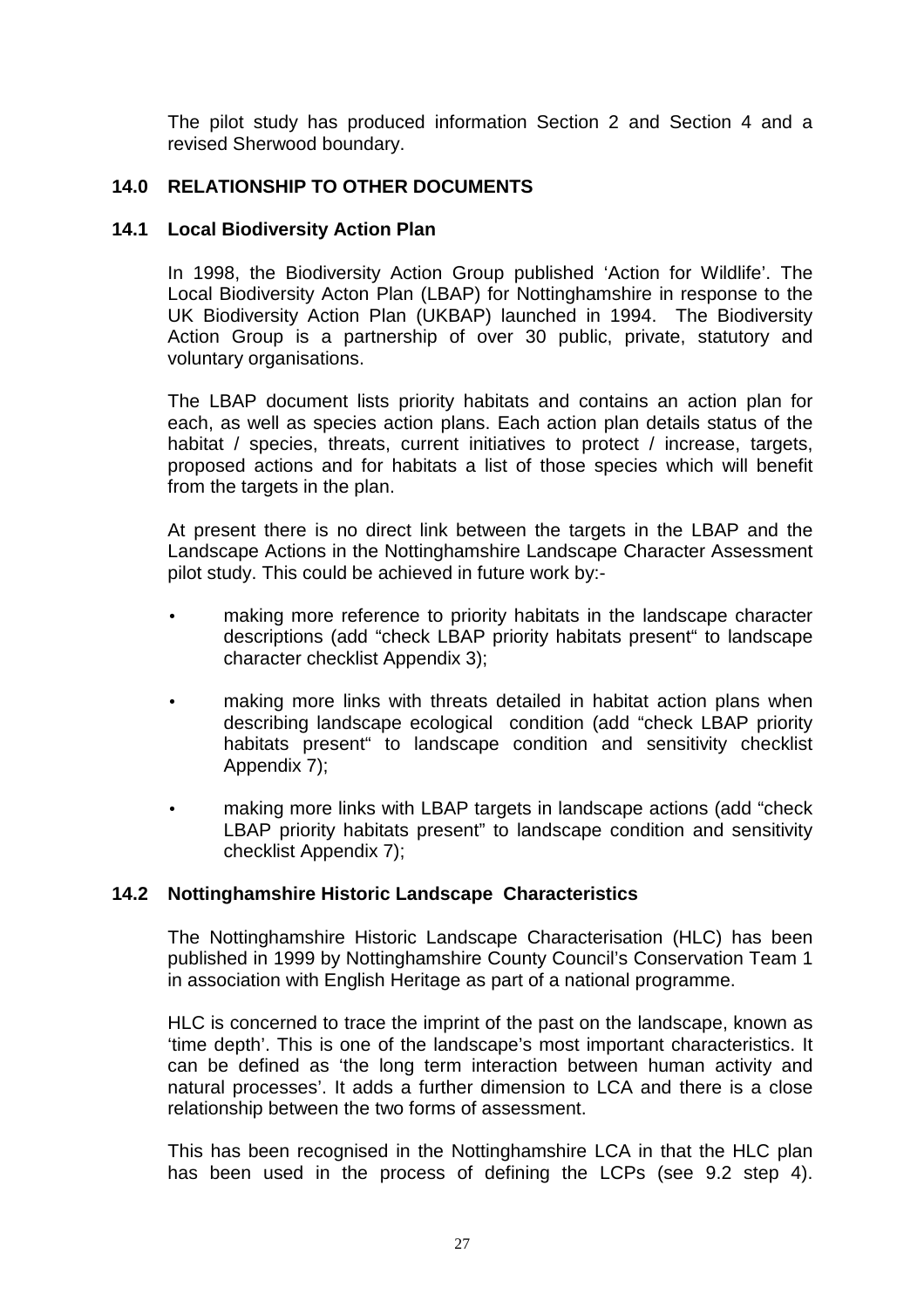The pilot study has produced information Section 2 and Section 4 and a revised Sherwood boundary.

### **14.0 RELATIONSHIP TO OTHER DOCUMENTS**

#### **14.1 Local Biodiversity Action Plan**

In 1998, the Biodiversity Action Group published 'Action for Wildlife'. The Local Biodiversity Acton Plan (LBAP) for Nottinghamshire in response to the UK Biodiversity Action Plan (UKBAP) launched in 1994. The Biodiversity Action Group is a partnership of over 30 public, private, statutory and voluntary organisations.

The LBAP document lists priority habitats and contains an action plan for each, as well as species action plans. Each action plan details status of the habitat / species, threats, current initiatives to protect / increase, targets, proposed actions and for habitats a list of those species which will benefit from the targets in the plan.

At present there is no direct link between the targets in the LBAP and the Landscape Actions in the Nottinghamshire Landscape Character Assessment pilot study. This could be achieved in future work by:-

- making more reference to priority habitats in the landscape character descriptions (add "check LBAP priority habitats present" to landscape character checklist Appendix 3);
- making more links with threats detailed in habitat action plans when describing landscape ecological condition (add "check LBAP priority habitats present" to landscape condition and sensitivity checklist Appendix 7);
- making more links with LBAP targets in landscape actions (add "check" LBAP priority habitats present" to landscape condition and sensitivity checklist Appendix 7);

#### **14.2 Nottinghamshire Historic Landscape Characteristics**

The Nottinghamshire Historic Landscape Characterisation (HLC) has been published in 1999 by Nottinghamshire County Council's Conservation Team 1 in association with English Heritage as part of a national programme.

HLC is concerned to trace the imprint of the past on the landscape, known as 'time depth'. This is one of the landscape's most important characteristics. It can be defined as 'the long term interaction between human activity and natural processes'. It adds a further dimension to LCA and there is a close relationship between the two forms of assessment.

This has been recognised in the Nottinghamshire LCA in that the HLC plan has been used in the process of defining the LCPs (see 9.2 step 4).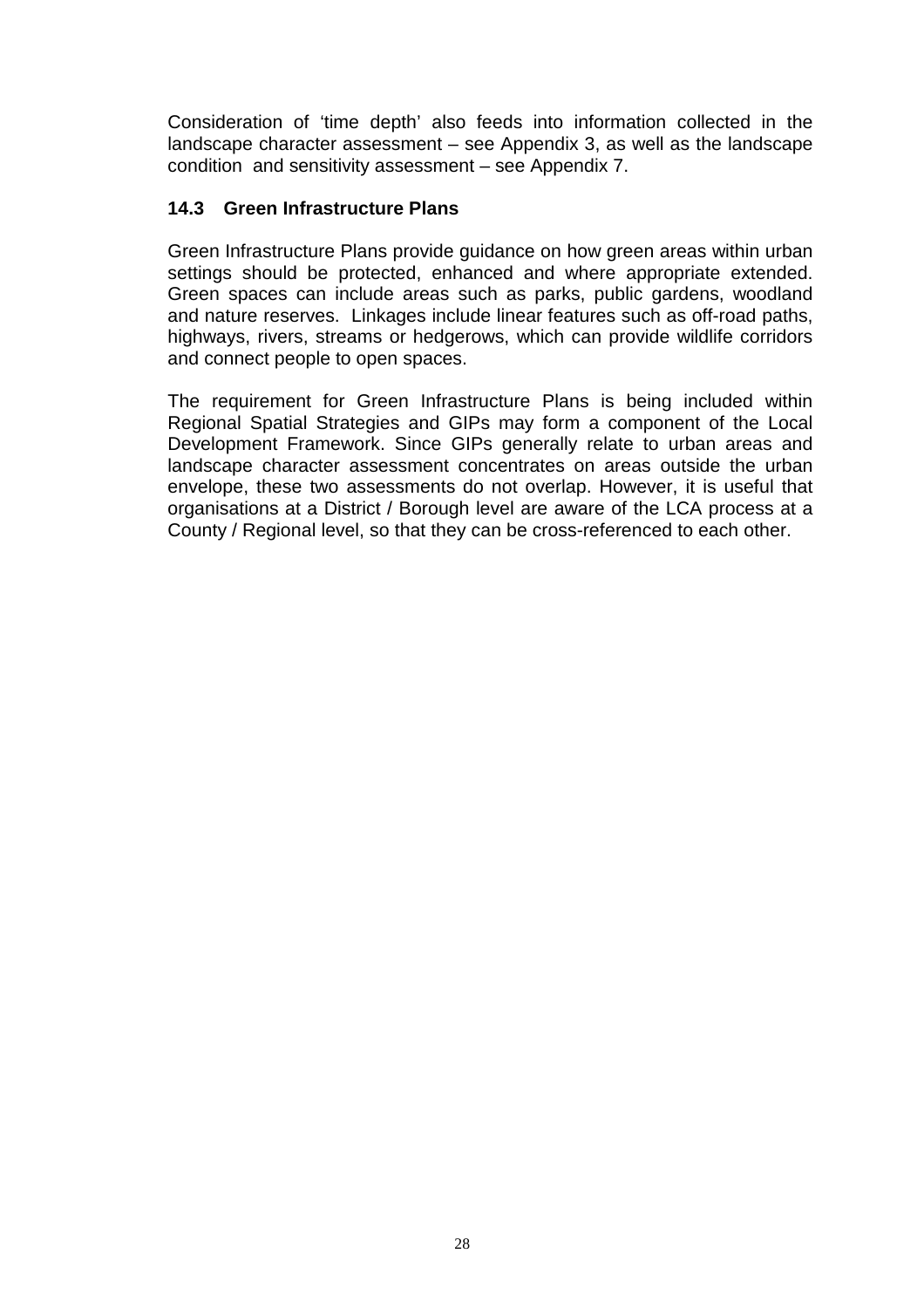Consideration of 'time depth' also feeds into information collected in the landscape character assessment – see Appendix 3, as well as the landscape condition and sensitivity assessment – see Appendix 7.

### **14.3 Green Infrastructure Plans**

Green Infrastructure Plans provide guidance on how green areas within urban settings should be protected, enhanced and where appropriate extended. Green spaces can include areas such as parks, public gardens, woodland and nature reserves. Linkages include linear features such as off-road paths, highways, rivers, streams or hedgerows, which can provide wildlife corridors and connect people to open spaces.

The requirement for Green Infrastructure Plans is being included within Regional Spatial Strategies and GIPs may form a component of the Local Development Framework. Since GIPs generally relate to urban areas and landscape character assessment concentrates on areas outside the urban envelope, these two assessments do not overlap. However, it is useful that organisations at a District / Borough level are aware of the LCA process at a County / Regional level, so that they can be cross-referenced to each other.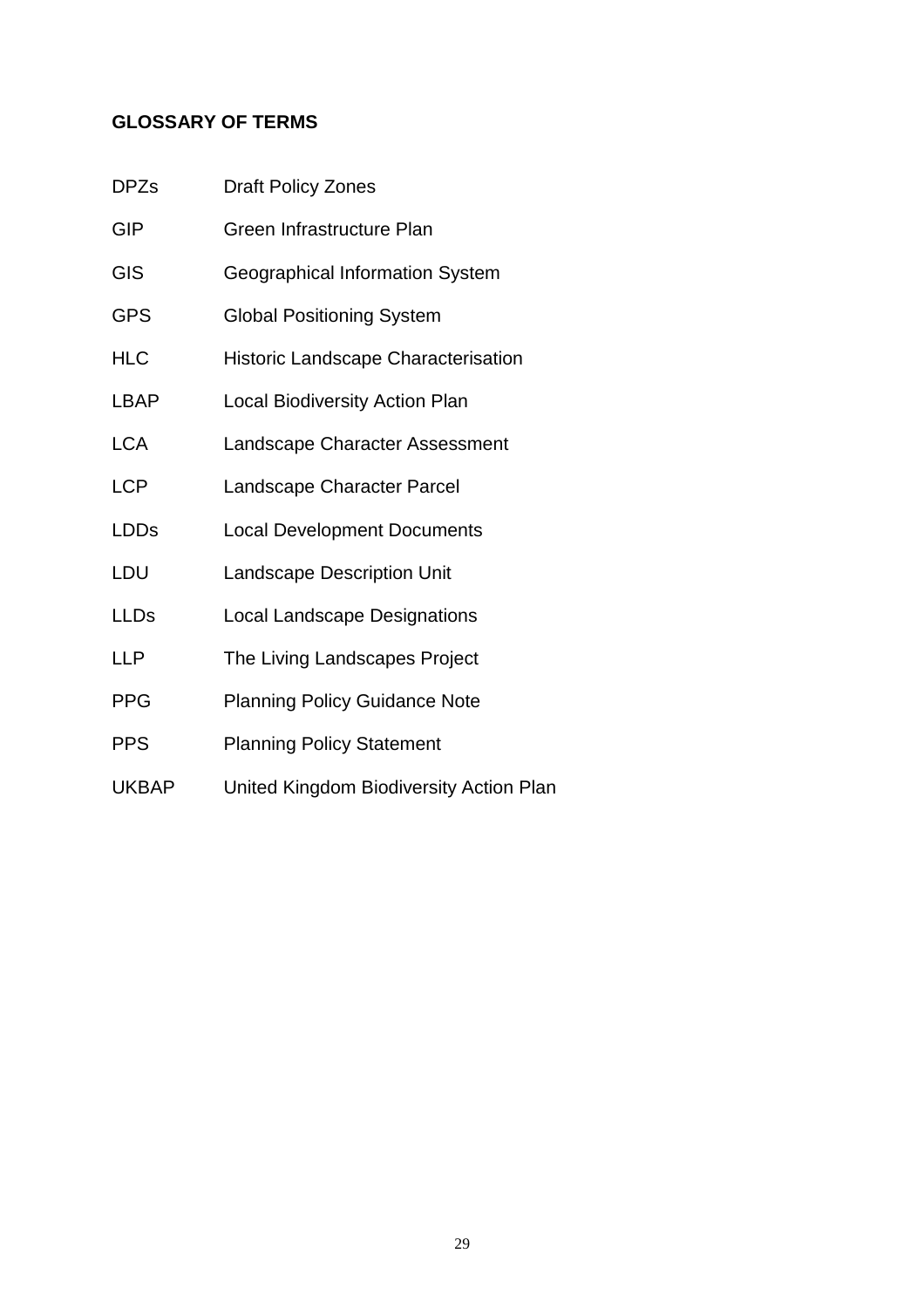# **GLOSSARY OF TERMS**

| <b>DPZs</b>  | <b>Draft Policy Zones</b>                  |  |
|--------------|--------------------------------------------|--|
| <b>GIP</b>   | Green Infrastructure Plan                  |  |
| <b>GIS</b>   | Geographical Information System            |  |
| <b>GPS</b>   | <b>Global Positioning System</b>           |  |
| <b>HLC</b>   | <b>Historic Landscape Characterisation</b> |  |
| <b>LBAP</b>  | <b>Local Biodiversity Action Plan</b>      |  |
| <b>LCA</b>   | Landscape Character Assessment             |  |
| <b>LCP</b>   | Landscape Character Parcel                 |  |
| <b>LDDs</b>  | <b>Local Development Documents</b>         |  |
| LDU          | <b>Landscape Description Unit</b>          |  |
| <b>LLDs</b>  | <b>Local Landscape Designations</b>        |  |
| <b>LLP</b>   | The Living Landscapes Project              |  |
| <b>PPG</b>   | <b>Planning Policy Guidance Note</b>       |  |
| <b>PPS</b>   | <b>Planning Policy Statement</b>           |  |
| <b>UKBAP</b> | United Kingdom Biodiversity Action Plan    |  |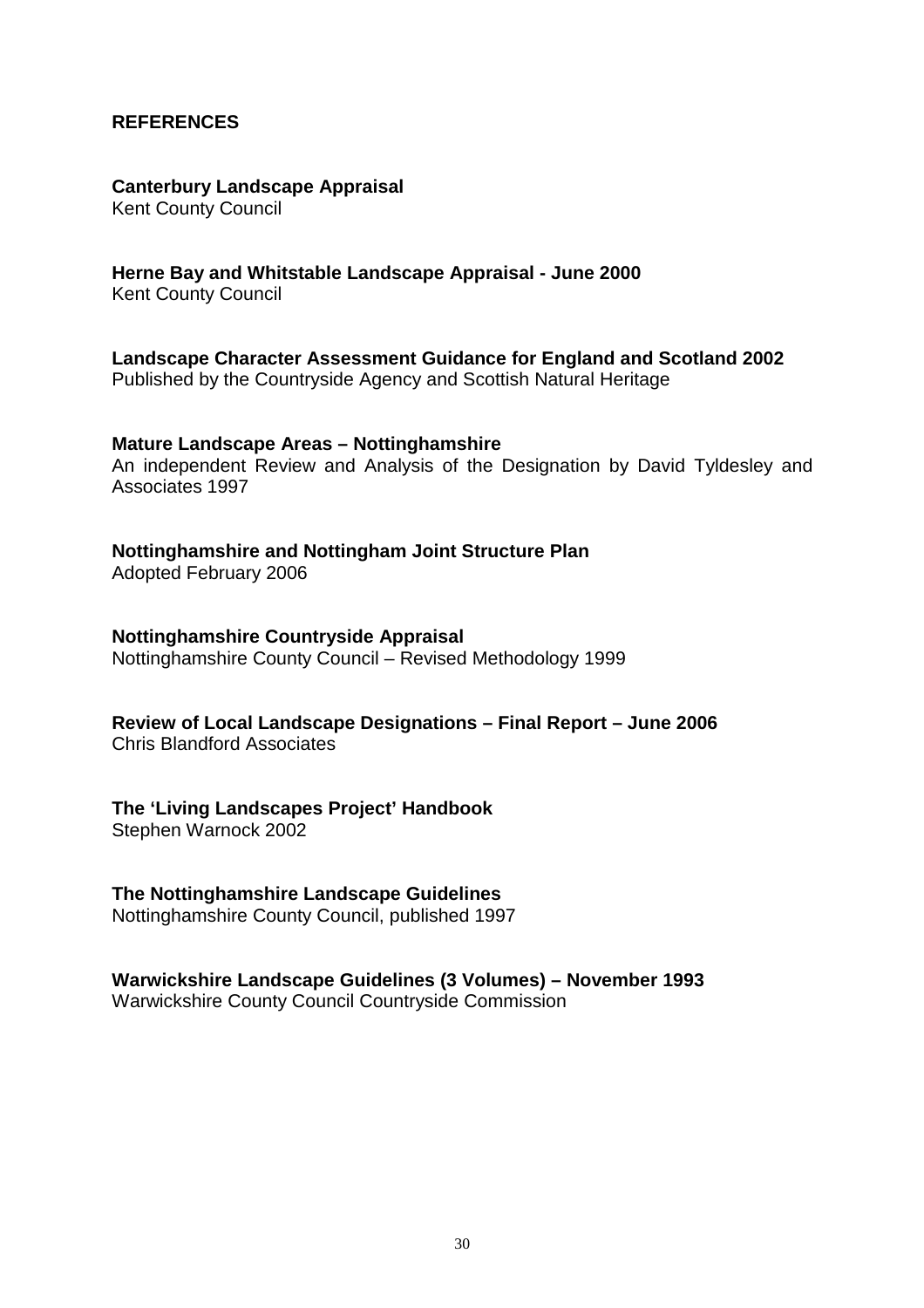#### **REFERENCES**

#### **Canterbury Landscape Appraisal**

Kent County Council

#### **Herne Bay and Whitstable Landscape Appraisal - June 2000**

Kent County Council

**Landscape Character Assessment Guidance for England and Scotland 2002**  Published by the Countryside Agency and Scottish Natural Heritage

#### **Mature Landscape Areas – Nottinghamshire**

An independent Review and Analysis of the Designation by David Tyldesley and Associates 1997

#### **Nottinghamshire and Nottingham Joint Structure Plan**

Adopted February 2006

#### **Nottinghamshire Countryside Appraisal**

Nottinghamshire County Council – Revised Methodology 1999

## **Review of Local Landscape Designations – Final Report – June 2006**

Chris Blandford Associates

#### **The 'Living Landscapes Project' Handbook**

Stephen Warnock 2002

#### **The Nottinghamshire Landscape Guidelines**

Nottinghamshire County Council, published 1997

### **Warwickshire Landscape Guidelines (3 Volumes) – November 1993**

Warwickshire County Council Countryside Commission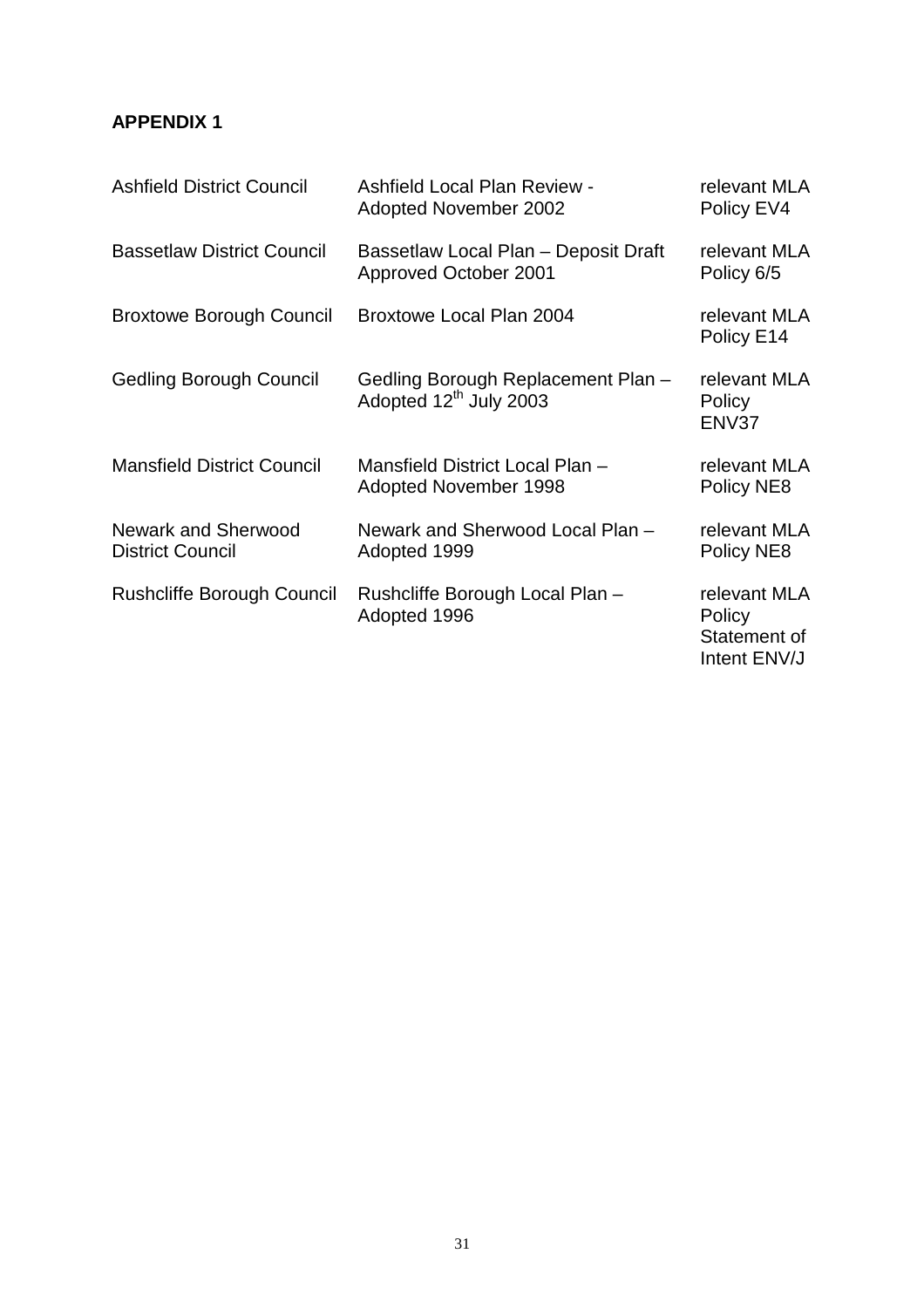## **APPENDIX 1**

| <b>Ashfield District Council</b>                      | <b>Ashfield Local Plan Review -</b><br><b>Adopted November 2002</b>      | relevant MLA<br>Policy EV4                             |
|-------------------------------------------------------|--------------------------------------------------------------------------|--------------------------------------------------------|
| <b>Bassetlaw District Council</b>                     | Bassetlaw Local Plan - Deposit Draft<br>Approved October 2001            | relevant MLA<br>Policy 6/5                             |
| <b>Broxtowe Borough Council</b>                       | Broxtowe Local Plan 2004                                                 | relevant MLA<br>Policy E14                             |
| <b>Gedling Borough Council</b>                        | Gedling Borough Replacement Plan -<br>Adopted 12 <sup>th</sup> July 2003 | relevant MLA<br>Policy<br>ENV37                        |
| <b>Mansfield District Council</b>                     | Mansfield District Local Plan -<br><b>Adopted November 1998</b>          | relevant MLA<br>Policy NE8                             |
| <b>Newark and Sherwood</b><br><b>District Council</b> | Newark and Sherwood Local Plan -<br>Adopted 1999                         | relevant MLA<br>Policy NE8                             |
| <b>Rushcliffe Borough Council</b>                     | Rushcliffe Borough Local Plan -<br>Adopted 1996                          | relevant MLA<br>Policy<br>Statement of<br>Intent ENV/J |